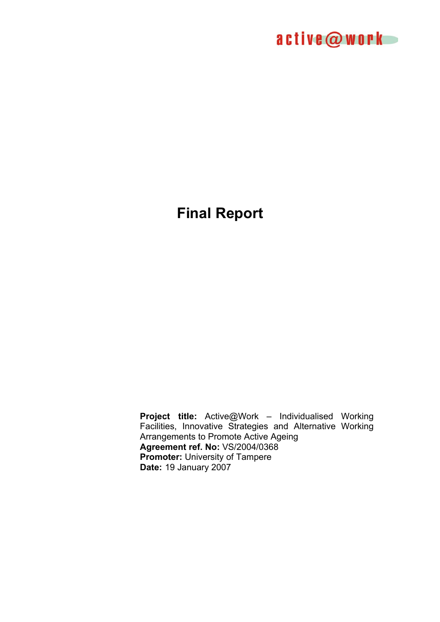

# **Final Report**

**Project title:** Active@Work – Individualised Working Facilities, Innovative Strategies and Alternative Working Arrangements to Promote Active Ageing **Agreement ref. No:** VS/2004/0368 **Promoter:** University of Tampere **Date:** 19 January 2007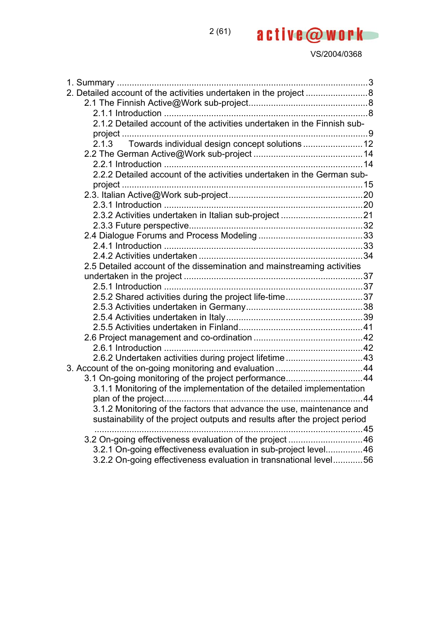| 2. Detailed account of the activities undertaken in the project 8          |  |
|----------------------------------------------------------------------------|--|
|                                                                            |  |
|                                                                            |  |
| 2.1.2 Detailed account of the activities undertaken in the Finnish sub-    |  |
|                                                                            |  |
| 2.1.3 Towards individual design concept solutions  12                      |  |
|                                                                            |  |
|                                                                            |  |
| 2.2.2 Detailed account of the activities undertaken in the German sub-     |  |
|                                                                            |  |
|                                                                            |  |
|                                                                            |  |
|                                                                            |  |
|                                                                            |  |
|                                                                            |  |
|                                                                            |  |
|                                                                            |  |
| 2.5 Detailed account of the dissemination and mainstreaming activities     |  |
|                                                                            |  |
|                                                                            |  |
| 2.5.2 Shared activities during the project life-time37                     |  |
|                                                                            |  |
|                                                                            |  |
|                                                                            |  |
|                                                                            |  |
|                                                                            |  |
| 2.6.2 Undertaken activities during project lifetime 43                     |  |
|                                                                            |  |
| 3.1 On-going monitoring of the project performance44                       |  |
| 3.1.1 Monitoring of the implementation of the detailed implementation      |  |
|                                                                            |  |
| 3.1.2 Monitoring of the factors that advance the use, maintenance and      |  |
| sustainability of the project outputs and results after the project period |  |
|                                                                            |  |
|                                                                            |  |
| 3.2.1 On-going effectiveness evaluation in sub-project level46             |  |
| 3.2.2 On-going effectiveness evaluation in transnational level56           |  |

2 (61)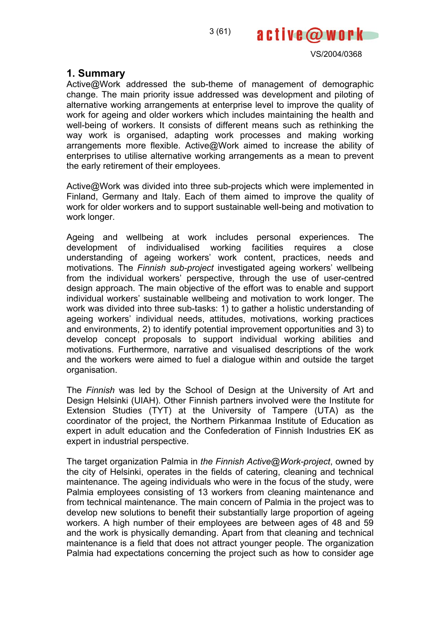

## **1. Summary**

Active@Work addressed the sub-theme of management of demographic change. The main priority issue addressed was development and piloting of alternative working arrangements at enterprise level to improve the quality of work for ageing and older workers which includes maintaining the health and well-being of workers. It consists of different means such as rethinking the way work is organised, adapting work processes and making working arrangements more flexible. Active@Work aimed to increase the ability of enterprises to utilise alternative working arrangements as a mean to prevent the early retirement of their employees.

Active@Work was divided into three sub-projects which were implemented in Finland, Germany and Italy. Each of them aimed to improve the quality of work for older workers and to support sustainable well-being and motivation to work longer.

Ageing and wellbeing at work includes personal experiences. The development of individualised working facilities requires a close understanding of ageing workers' work content, practices, needs and motivations. The *Finnish sub-project* investigated ageing workers' wellbeing from the individual workers' perspective, through the use of user-centred design approach. The main objective of the effort was to enable and support individual workers' sustainable wellbeing and motivation to work longer. The work was divided into three sub-tasks: 1) to gather a holistic understanding of ageing workers' individual needs, attitudes, motivations, working practices and environments, 2) to identify potential improvement opportunities and 3) to develop concept proposals to support individual working abilities and motivations. Furthermore, narrative and visualised descriptions of the work and the workers were aimed to fuel a dialogue within and outside the target organisation.

The *Finnish* was led by the School of Design at the University of Art and Design Helsinki (UIAH). Other Finnish partners involved were the Institute for Extension Studies (TYT) at the University of Tampere (UTA) as the coordinator of the project, the Northern Pirkanmaa Institute of Education as expert in adult education and the Confederation of Finnish Industries EK as expert in industrial perspective.

The target organization Palmia in *the Finnish Active@Work-project*, owned by the city of Helsinki, operates in the fields of catering, cleaning and technical maintenance. The ageing individuals who were in the focus of the study, were Palmia employees consisting of 13 workers from cleaning maintenance and from technical maintenance. The main concern of Palmia in the project was to develop new solutions to benefit their substantially large proportion of ageing workers. A high number of their employees are between ages of 48 and 59 and the work is physically demanding. Apart from that cleaning and technical maintenance is a field that does not attract younger people. The organization Palmia had expectations concerning the project such as how to consider age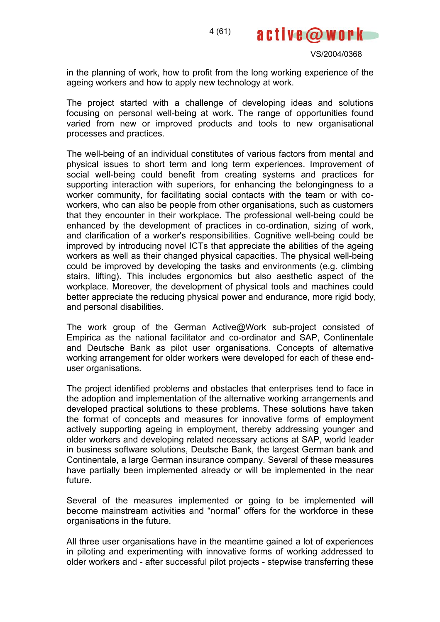

in the planning of work, how to profit from the long working experience of the ageing workers and how to apply new technology at work.

The project started with a challenge of developing ideas and solutions focusing on personal well-being at work. The range of opportunities found varied from new or improved products and tools to new organisational processes and practices.

The well-being of an individual constitutes of various factors from mental and physical issues to short term and long term experiences. Improvement of social well-being could benefit from creating systems and practices for supporting interaction with superiors, for enhancing the belongingness to a worker community, for facilitating social contacts with the team or with coworkers, who can also be people from other organisations, such as customers that they encounter in their workplace. The professional well-being could be enhanced by the development of practices in co-ordination, sizing of work, and clarification of a worker's responsibilities. Cognitive well-being could be improved by introducing novel ICTs that appreciate the abilities of the ageing workers as well as their changed physical capacities. The physical well-being could be improved by developing the tasks and environments (e.g. climbing stairs, lifting). This includes ergonomics but also aesthetic aspect of the workplace. Moreover, the development of physical tools and machines could better appreciate the reducing physical power and endurance, more rigid body, and personal disabilities.

The work group of the German Active@Work sub-project consisted of Empirica as the national facilitator and co-ordinator and SAP, Continentale and Deutsche Bank as pilot user organisations. Concepts of alternative working arrangement for older workers were developed for each of these enduser organisations.

The project identified problems and obstacles that enterprises tend to face in the adoption and implementation of the alternative working arrangements and developed practical solutions to these problems. These solutions have taken the format of concepts and measures for innovative forms of employment actively supporting ageing in employment, thereby addressing younger and older workers and developing related necessary actions at SAP, world leader in business software solutions, Deutsche Bank, the largest German bank and Continentale, a large German insurance company. Several of these measures have partially been implemented already or will be implemented in the near future.

Several of the measures implemented or going to be implemented will become mainstream activities and "normal" offers for the workforce in these organisations in the future.

All three user organisations have in the meantime gained a lot of experiences in piloting and experimenting with innovative forms of working addressed to older workers and - after successful pilot projects - stepwise transferring these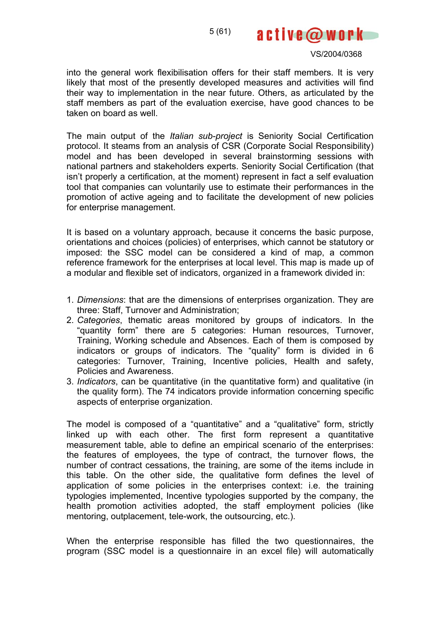active@work

into the general work flexibilisation offers for their staff members. It is very likely that most of the presently developed measures and activities will find their way to implementation in the near future. Others, as articulated by the staff members as part of the evaluation exercise, have good chances to be taken on board as well.

The main output of the *Italian sub-project* is Seniority Social Certification protocol. It steams from an analysis of CSR (Corporate Social Responsibility) model and has been developed in several brainstorming sessions with national partners and stakeholders experts. Seniority Social Certification (that isn't properly a certification, at the moment) represent in fact a self evaluation tool that companies can voluntarily use to estimate their performances in the promotion of active ageing and to facilitate the development of new policies for enterprise management.

It is based on a voluntary approach, because it concerns the basic purpose, orientations and choices (policies) of enterprises, which cannot be statutory or imposed: the SSC model can be considered a kind of map, a common reference framework for the enterprises at local level. This map is made up of a modular and flexible set of indicators, organized in a framework divided in:

- 1. *Dimensions*: that are the dimensions of enterprises organization. They are three: Staff, Turnover and Administration;
- 2. *Categories*, thematic areas monitored by groups of indicators. In the "quantity form" there are 5 categories: Human resources, Turnover, Training, Working schedule and Absences. Each of them is composed by indicators or groups of indicators. The "quality" form is divided in 6 categories: Turnover, Training, Incentive policies, Health and safety, Policies and Awareness.
- 3. *Indicators*, can be quantitative (in the quantitative form) and qualitative (in the quality form). The 74 indicators provide information concerning specific aspects of enterprise organization.

The model is composed of a "quantitative" and a "qualitative" form, strictly linked up with each other. The first form represent a quantitative measurement table, able to define an empirical scenario of the enterprises: the features of employees, the type of contract, the turnover flows, the number of contract cessations, the training, are some of the items include in this table. On the other side, the qualitative form defines the level of application of some policies in the enterprises context: i.e. the training typologies implemented, Incentive typologies supported by the company, the health promotion activities adopted, the staff employment policies (like mentoring, outplacement, tele-work, the outsourcing, etc.).

When the enterprise responsible has filled the two questionnaires, the program (SSC model is a questionnaire in an excel file) will automatically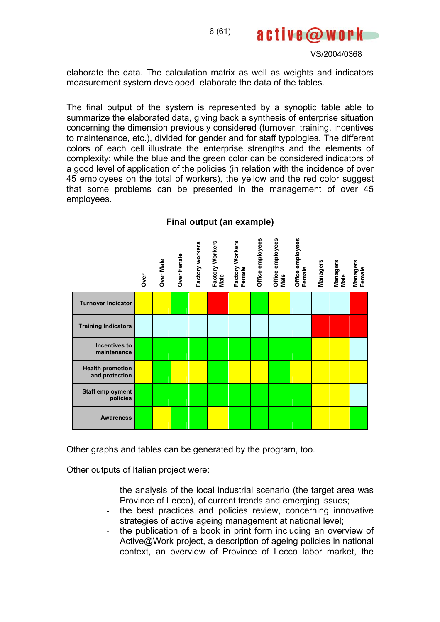

elaborate the data. The calculation matrix as well as weights and indicators measurement system developed elaborate the data of the tables.

The final output of the system is represented by a synoptic table able to summarize the elaborated data, giving back a synthesis of enterprise situation concerning the dimension previously considered (turnover, training, incentives to maintenance, etc.), divided for gender and for staff typologies. The different colors of each cell illustrate the enterprise strengths and the elements of complexity: while the blue and the green color can be considered indicators of a good level of application of the policies (in relation with the incidence of over 45 employees on the total of workers), the yellow and the red color suggest that some problems can be presented in the management of over 45 employees.

|                                           | Over | Over Male | Over Fenale | Factory workers | Factory Workers<br>Male | Factory Workers<br>Female | Office employees | Office employees<br>Male | Office employees<br>Female | <b>Managers</b> | Managers<br>Male | <b>Managers</b><br>Female |
|-------------------------------------------|------|-----------|-------------|-----------------|-------------------------|---------------------------|------------------|--------------------------|----------------------------|-----------------|------------------|---------------------------|
| <b>Turnover Indicator</b>                 |      |           |             |                 |                         |                           |                  |                          |                            |                 |                  |                           |
| <b>Training Indicators</b>                |      |           |             |                 |                         |                           |                  |                          |                            |                 |                  |                           |
| <b>Incentives to</b><br>maintenance       |      |           |             |                 |                         |                           |                  |                          |                            |                 |                  |                           |
| <b>Health promotion</b><br>and protection |      |           |             |                 |                         |                           |                  |                          |                            |                 |                  |                           |
| <b>Staff employment</b><br>policies       |      |           |             |                 |                         |                           |                  |                          |                            |                 |                  |                           |
| <b>Awareness</b>                          |      |           |             |                 |                         |                           |                  |                          |                            |                 |                  |                           |

## **Final output (an example)**

Other graphs and tables can be generated by the program, too.

Other outputs of Italian project were:

- the analysis of the local industrial scenario (the target area was Province of Lecco), of current trends and emerging issues;
- the best practices and policies review, concerning innovative strategies of active ageing management at national level;
- the publication of a book in print form including an overview of Active@Work project, a description of ageing policies in national context, an overview of Province of Lecco labor market, the

6 (61)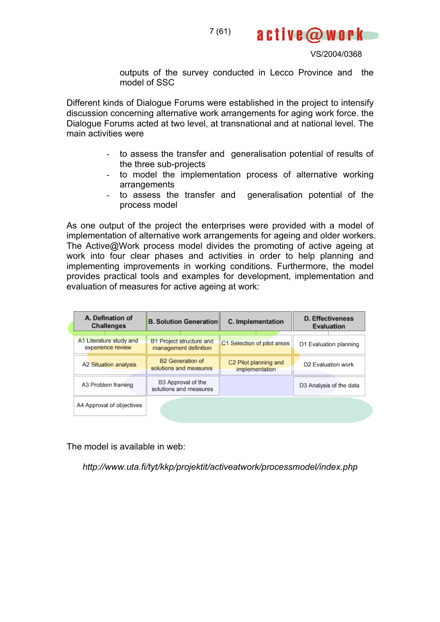

active@work

outputs of the survey conducted in Lecco Province and the model of SSC

Different kinds of Dialogue Forums were established in the project to intensify discussion concerning alternative work arrangements for aging work force. the Dialogue Forums acted at two level, at transnational and at national level. The main activities were

- to assess the transfer and generalisation potential of results of the three sub-projects
- to model the implementation process of alternative working arrangements
- to assess the transfer and generalisation potential of the process model

As one output of the project the enterprises were provided with a model of implementation of alternative work arrangements for ageing and older workers. The Active@Work process model divides the promoting of active ageing at work into four clear phases and activities in order to help planning and implementing improvements in working conditions. Furthermore, the model provides practical tools and examples for development, implementation and evaluation of measures for active ageing at work:

| A. Defination of<br><b>Challenges</b>        | <b>B. Solution Generation</b>                     | C. Implementation                       | <b>D. Effectiveness</b><br>Evaluation |  |
|----------------------------------------------|---------------------------------------------------|-----------------------------------------|---------------------------------------|--|
| A1 Literature study and<br>experience review | B1 Project structure and<br>management definition | C1 Selection of pilot areas             | D1 Evaluation planning                |  |
| A2 Situation analysis                        | <b>B2</b> Generation of<br>solutions and measures | C2 Pilot planning and<br>implementation | D2 Evaluation work                    |  |
| A3 Problem framing                           | B3 Approval of the<br>solutions and measures      |                                         | D3 Analysis of the data               |  |
| A4 Approval of objectives                    |                                                   |                                         |                                       |  |

The model is available in web:

*http://www.uta.fi/tyt/kkp/projektit/activeatwork/processmodel/index.php*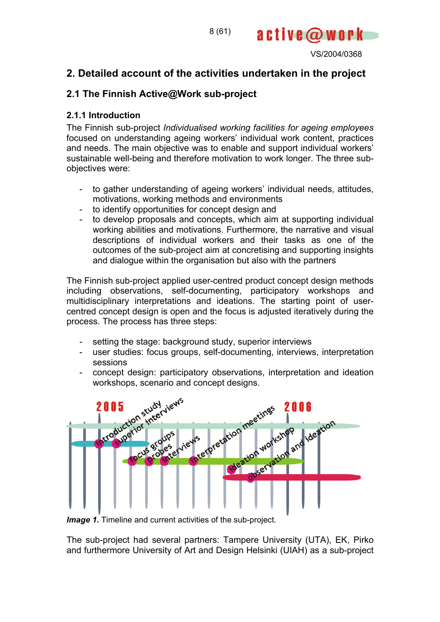

# **2. Detailed account of the activities undertaken in the project**

# **2.1 The Finnish Active@Work sub-project**

## **2.1.1 Introduction**

The Finnish sub-project *Individualised working facilities for ageing employees*  focused on understanding ageing workers' individual work content, practices and needs. The main objective was to enable and support individual workers' sustainable well-being and therefore motivation to work longer. The three subobjectives were:

- to gather understanding of ageing workers' individual needs, attitudes, motivations, working methods and environments
- to identify opportunities for concept design and
- to develop proposals and concepts, which aim at supporting individual working abilities and motivations. Furthermore, the narrative and visual descriptions of individual workers and their tasks as one of the outcomes of the sub-project aim at concretising and supporting insights and dialogue within the organisation but also with the partners

The Finnish sub-project applied user-centred product concept design methods including observations, self-documenting, participatory workshops and multidisciplinary interpretations and ideations. The starting point of usercentred concept design is open and the focus is adjusted iteratively during the process. The process has three steps:

- setting the stage: background study, superior interviews
- user studies: focus groups, self-documenting, interviews, interpretation sessions
- concept design: participatory observations, interpretation and ideation



*Image 1.* Timeline and current activities of the sub-project.

The sub-project had several partners: Tampere University (UTA), EK, Pirko and furthermore University of Art and Design Helsinki (UIAH) as a sub-project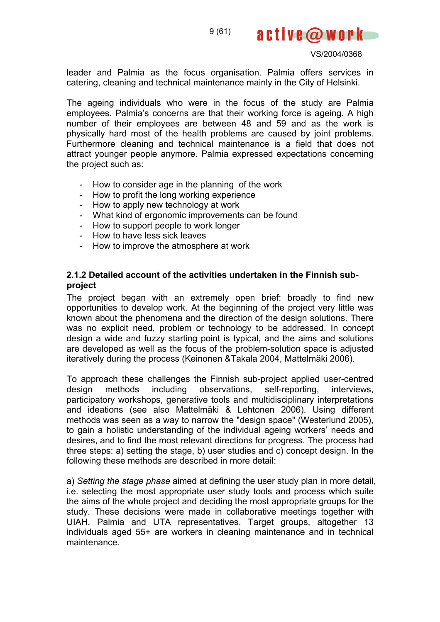

leader and Palmia as the focus organisation. Palmia offers services in catering, cleaning and technical maintenance mainly in the City of Helsinki.

The ageing individuals who were in the focus of the study are Palmia employees. Palmia's concerns are that their working force is ageing. A high number of their employees are between 48 and 59 and as the work is physically hard most of the health problems are caused by joint problems. Furthermore cleaning and technical maintenance is a field that does not attract younger people anymore. Palmia expressed expectations concerning the project such as:

- How to consider age in the planning of the work
- How to profit the long working experience
- How to apply new technology at work
- What kind of ergonomic improvements can be found
- How to support people to work longer
- How to have less sick leaves
- How to improve the atmosphere at work

## **2.1.2 Detailed account of the activities undertaken in the Finnish subproject**

The project began with an extremely open brief: broadly to find new opportunities to develop work. At the beginning of the project very little was known about the phenomena and the direction of the design solutions. There was no explicit need, problem or technology to be addressed. In concept design a wide and fuzzy starting point is typical, and the aims and solutions are developed as well as the focus of the problem-solution space is adjusted iteratively during the process (Keinonen &Takala 2004, Mattelmäki 2006).

To approach these challenges the Finnish sub-project applied user-centred design methods including observations, self-reporting, interviews, participatory workshops, generative tools and multidisciplinary interpretations and ideations (see also Mattelmäki & Lehtonen 2006). Using different methods was seen as a way to narrow the "design space" (Westerlund 2005), to gain a holistic understanding of the individual ageing workers' needs and desires, and to find the most relevant directions for progress. The process had three steps: a) setting the stage, b) user studies and c) concept design. In the following these methods are described in more detail:

a) *Setting the stage phase* aimed at defining the user study plan in more detail, i.e. selecting the most appropriate user study tools and process which suite the aims of the whole project and deciding the most appropriate groups for the study. These decisions were made in collaborative meetings together with UIAH, Palmia and UTA representatives. Target groups, altogether 13 individuals aged 55+ are workers in cleaning maintenance and in technical maintenance.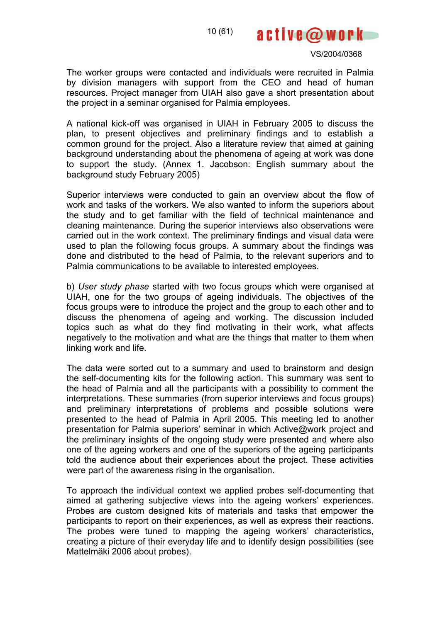

The worker groups were contacted and individuals were recruited in Palmia by division managers with support from the CEO and head of human resources. Project manager from UIAH also gave a short presentation about the project in a seminar organised for Palmia employees.

A national kick-off was organised in UIAH in February 2005 to discuss the plan, to present objectives and preliminary findings and to establish a common ground for the project. Also a literature review that aimed at gaining background understanding about the phenomena of ageing at work was done to support the study. (Annex 1. Jacobson: English summary about the background study February 2005)

Superior interviews were conducted to gain an overview about the flow of work and tasks of the workers. We also wanted to inform the superiors about the study and to get familiar with the field of technical maintenance and cleaning maintenance. During the superior interviews also observations were carried out in the work context. The preliminary findings and visual data were used to plan the following focus groups. A summary about the findings was done and distributed to the head of Palmia, to the relevant superiors and to Palmia communications to be available to interested employees.

b) *User study phase* started with two focus groups which were organised at UIAH, one for the two groups of ageing individuals. The objectives of the focus groups were to introduce the project and the group to each other and to discuss the phenomena of ageing and working. The discussion included topics such as what do they find motivating in their work, what affects negatively to the motivation and what are the things that matter to them when linking work and life.

The data were sorted out to a summary and used to brainstorm and design the self-documenting kits for the following action. This summary was sent to the head of Palmia and all the participants with a possibility to comment the interpretations. These summaries (from superior interviews and focus groups) and preliminary interpretations of problems and possible solutions were presented to the head of Palmia in April 2005. This meeting led to another presentation for Palmia superiors' seminar in which Active@work project and the preliminary insights of the ongoing study were presented and where also one of the ageing workers and one of the superiors of the ageing participants told the audience about their experiences about the project. These activities were part of the awareness rising in the organisation.

To approach the individual context we applied probes self-documenting that aimed at gathering subjective views into the ageing workers' experiences. Probes are custom designed kits of materials and tasks that empower the participants to report on their experiences, as well as express their reactions. The probes were tuned to mapping the ageing workers' characteristics, creating a picture of their everyday life and to identify design possibilities (see Mattelmäki 2006 about probes).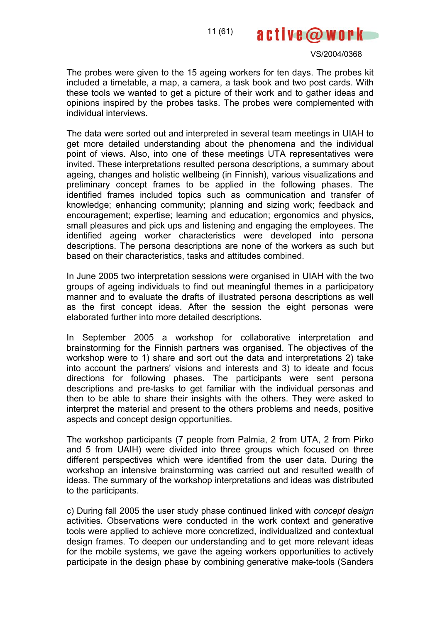

The probes were given to the 15 ageing workers for ten days. The probes kit included a timetable, a map, a camera, a task book and two post cards. With these tools we wanted to get a picture of their work and to gather ideas and opinions inspired by the probes tasks. The probes were complemented with individual interviews.

The data were sorted out and interpreted in several team meetings in UIAH to get more detailed understanding about the phenomena and the individual point of views. Also, into one of these meetings UTA representatives were invited. These interpretations resulted persona descriptions, a summary about ageing, changes and holistic wellbeing (in Finnish), various visualizations and preliminary concept frames to be applied in the following phases. The identified frames included topics such as communication and transfer of knowledge; enhancing community; planning and sizing work; feedback and encouragement; expertise; learning and education; ergonomics and physics, small pleasures and pick ups and listening and engaging the employees. The identified ageing worker characteristics were developed into persona descriptions. The persona descriptions are none of the workers as such but based on their characteristics, tasks and attitudes combined.

In June 2005 two interpretation sessions were organised in UIAH with the two groups of ageing individuals to find out meaningful themes in a participatory manner and to evaluate the drafts of illustrated persona descriptions as well as the first concept ideas. After the session the eight personas were elaborated further into more detailed descriptions.

In September 2005 a workshop for collaborative interpretation and brainstorming for the Finnish partners was organised. The objectives of the workshop were to 1) share and sort out the data and interpretations 2) take into account the partners' visions and interests and 3) to ideate and focus directions for following phases. The participants were sent persona descriptions and pre-tasks to get familiar with the individual personas and then to be able to share their insights with the others. They were asked to interpret the material and present to the others problems and needs, positive aspects and concept design opportunities.

The workshop participants (7 people from Palmia, 2 from UTA, 2 from Pirko and 5 from UAIH) were divided into three groups which focused on three different perspectives which were identified from the user data. During the workshop an intensive brainstorming was carried out and resulted wealth of ideas. The summary of the workshop interpretations and ideas was distributed to the participants.

c) During fall 2005 the user study phase continued linked with *concept design*  activities. Observations were conducted in the work context and generative tools were applied to achieve more concretized, individualized and contextual design frames. To deepen our understanding and to get more relevant ideas for the mobile systems, we gave the ageing workers opportunities to actively participate in the design phase by combining generative make-tools (Sanders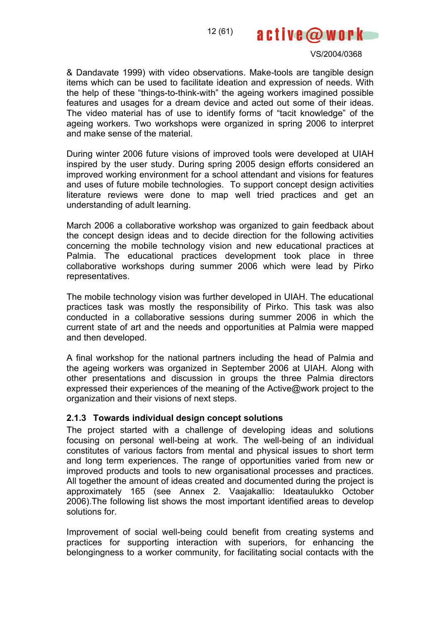active@work

& Dandavate 1999) with video observations. Make-tools are tangible design items which can be used to facilitate ideation and expression of needs. With the help of these "things-to-think-with" the ageing workers imagined possible features and usages for a dream device and acted out some of their ideas. The video material has of use to identify forms of "tacit knowledge" of the ageing workers. Two workshops were organized in spring 2006 to interpret and make sense of the material.

During winter 2006 future visions of improved tools were developed at UIAH inspired by the user study. During spring 2005 design efforts considered an improved working environment for a school attendant and visions for features and uses of future mobile technologies. To support concept design activities literature reviews were done to map well tried practices and get an understanding of adult learning.

March 2006 a collaborative workshop was organized to gain feedback about the concept design ideas and to decide direction for the following activities concerning the mobile technology vision and new educational practices at Palmia. The educational practices development took place in three collaborative workshops during summer 2006 which were lead by Pirko representatives.

The mobile technology vision was further developed in UIAH. The educational practices task was mostly the responsibility of Pirko. This task was also conducted in a collaborative sessions during summer 2006 in which the current state of art and the needs and opportunities at Palmia were mapped and then developed.

A final workshop for the national partners including the head of Palmia and the ageing workers was organized in September 2006 at UIAH. Along with other presentations and discussion in groups the three Palmia directors expressed their experiences of the meaning of the Active@work project to the organization and their visions of next steps.

#### **2.1.3 Towards individual design concept solutions**

The project started with a challenge of developing ideas and solutions focusing on personal well-being at work. The well-being of an individual constitutes of various factors from mental and physical issues to short term and long term experiences. The range of opportunities varied from new or improved products and tools to new organisational processes and practices. All together the amount of ideas created and documented during the project is approximately 165 (see Annex 2. Vaajakallio: Ideataulukko October 2006).The following list shows the most important identified areas to develop solutions for.

Improvement of social well-being could benefit from creating systems and practices for supporting interaction with superiors, for enhancing the belongingness to a worker community, for facilitating social contacts with the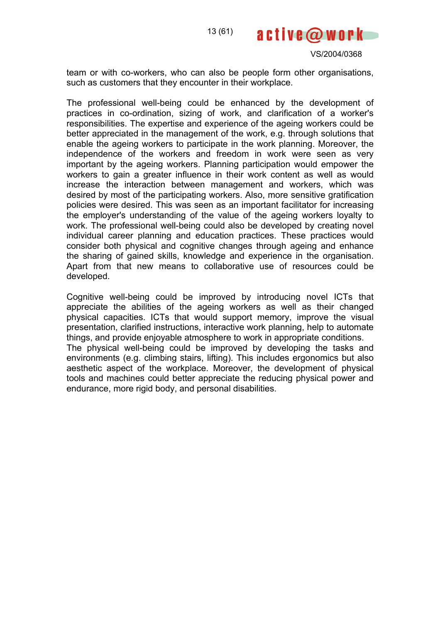

team or with co-workers, who can also be people form other organisations, such as customers that they encounter in their workplace.

The professional well-being could be enhanced by the development of practices in co-ordination, sizing of work, and clarification of a worker's responsibilities. The expertise and experience of the ageing workers could be better appreciated in the management of the work, e.g. through solutions that enable the ageing workers to participate in the work planning. Moreover, the independence of the workers and freedom in work were seen as very important by the ageing workers. Planning participation would empower the workers to gain a greater influence in their work content as well as would increase the interaction between management and workers, which was desired by most of the participating workers. Also, more sensitive gratification policies were desired. This was seen as an important facilitator for increasing the employer's understanding of the value of the ageing workers loyalty to work. The professional well-being could also be developed by creating novel individual career planning and education practices. These practices would consider both physical and cognitive changes through ageing and enhance the sharing of gained skills, knowledge and experience in the organisation. Apart from that new means to collaborative use of resources could be developed.

Cognitive well-being could be improved by introducing novel ICTs that appreciate the abilities of the ageing workers as well as their changed physical capacities. ICTs that would support memory, improve the visual presentation, clarified instructions, interactive work planning, help to automate things, and provide enjoyable atmosphere to work in appropriate conditions. The physical well-being could be improved by developing the tasks and environments (e.g. climbing stairs, lifting). This includes ergonomics but also aesthetic aspect of the workplace. Moreover, the development of physical tools and machines could better appreciate the reducing physical power and

endurance, more rigid body, and personal disabilities.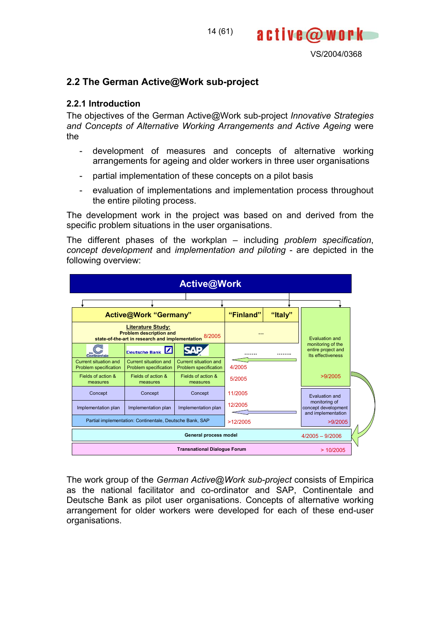

## **2.2 The German Active@Work sub-project**

#### **2.2.1 Introduction**

The objectives of the German Active@Work sub-project *Innovative Strategies and Concepts of Alternative Working Arrangements and Active Ageing* were the

- development of measures and concepts of alternative working arrangements for ageing and older workers in three user organisations
- partial implementation of these concepts on a pilot basis
- evaluation of implementations and implementation process throughout the entire piloting process.

The development work in the project was based on and derived from the specific problem situations in the user organisations.

The different phases of the workplan – including *problem specification*, *concept development* and *implementation and piloting* - are depicted in the following overview:

| <b>Active@Work</b>                                                                       |                                                       |                                                |           |                |  |                                                              |  |  |
|------------------------------------------------------------------------------------------|-------------------------------------------------------|------------------------------------------------|-----------|----------------|--|--------------------------------------------------------------|--|--|
|                                                                                          |                                                       |                                                |           |                |  |                                                              |  |  |
|                                                                                          | <b>Active@Work "Germany"</b>                          |                                                | "Finland" | "Italy"        |  |                                                              |  |  |
| <b>Problem description and</b><br>state-of-the-art in research and implementation 8/2005 |                                                       |                                                |           | Evaluation and |  |                                                              |  |  |
| Continentale                                                                             | Deutsche Bank                                         |                                                |           |                |  | monitoring of the<br>entire project and<br>Its effectiveness |  |  |
| Current situation and<br>Problem specification                                           | <b>Current situation and</b><br>Problem specification | Current situation and<br>Problem specification | 4/2005    |                |  |                                                              |  |  |
| Fields of action &<br>measures                                                           | Fields of action &<br>measures                        | Fields of action &<br>measures                 | 5/2005    |                |  | >9/2005                                                      |  |  |
| Concept                                                                                  | Concept                                               | Concept                                        | 11/2005   |                |  | Evaluation and                                               |  |  |
| Implementation plan                                                                      | 12/2005<br>Implementation plan<br>Implementation plan |                                                |           |                |  | monitoring of<br>concept development<br>and implementation   |  |  |
| Partial implementation: Continentale, Deutsche Bank, SAP<br>>12/2005                     |                                                       |                                                |           |                |  | >9/2005                                                      |  |  |
|                                                                                          | General process model<br>$4/2005 - 9/2006$            |                                                |           |                |  |                                                              |  |  |
|                                                                                          |                                                       | <b>Transnational Dialogue Forum</b>            |           |                |  | >10/2005                                                     |  |  |

The work group of the *German Active@Work sub-project* consists of Empirica as the national facilitator and co-ordinator and SAP, Continentale and Deutsche Bank as pilot user organisations. Concepts of alternative working arrangement for older workers were developed for each of these end-user organisations.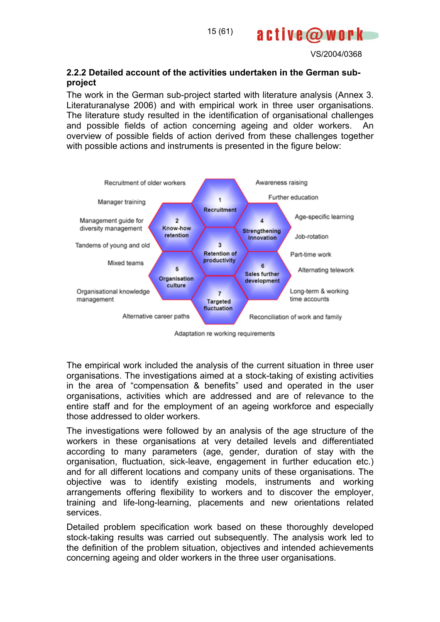

## **2.2.2 Detailed account of the activities undertaken in the German subproject**

The work in the German sub-project started with literature analysis (Annex 3. Literaturanalyse 2006) and with empirical work in three user organisations. The literature study resulted in the identification of organisational challenges and possible fields of action concerning ageing and older workers. An overview of possible fields of action derived from these challenges together with possible actions and instruments is presented in the figure below:



Adaptation re working requirements

The empirical work included the analysis of the current situation in three user organisations. The investigations aimed at a stock-taking of existing activities in the area of "compensation & benefits" used and operated in the user organisations, activities which are addressed and are of relevance to the entire staff and for the employment of an ageing workforce and especially those addressed to older workers.

The investigations were followed by an analysis of the age structure of the workers in these organisations at very detailed levels and differentiated according to many parameters (age, gender, duration of stay with the organisation, fluctuation, sick-leave, engagement in further education etc.) and for all different locations and company units of these organisations. The objective was to identify existing models, instruments and working arrangements offering flexibility to workers and to discover the employer, training and life-long-learning, placements and new orientations related services.

Detailed problem specification work based on these thoroughly developed stock-taking results was carried out subsequently. The analysis work led to the definition of the problem situation, objectives and intended achievements concerning ageing and older workers in the three user organisations.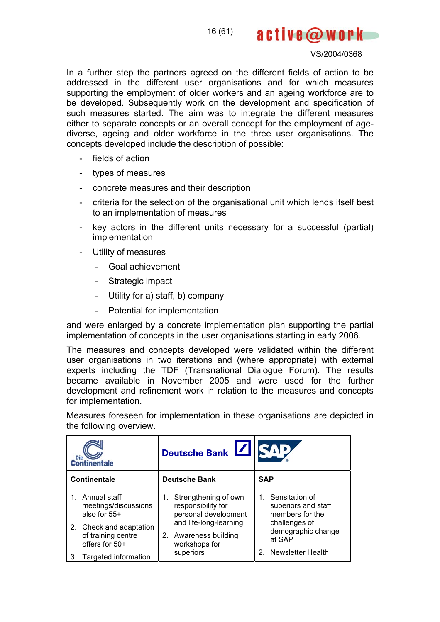16 (61)

#### VS/2004/0368

active@work

In a further step the partners agreed on the different fields of action to be addressed in the different user organisations and for which measures supporting the employment of older workers and an ageing workforce are to be developed. Subsequently work on the development and specification of such measures started. The aim was to integrate the different measures either to separate concepts or an overall concept for the employment of agediverse, ageing and older workforce in the three user organisations. The concepts developed include the description of possible:

- fields of action
- types of measures
- concrete measures and their description
- criteria for the selection of the organisational unit which lends itself best to an implementation of measures
- key actors in the different units necessary for a successful (partial) implementation
- Utility of measures
	- Goal achievement
	- Strategic impact
	- Utility for a) staff, b) company
	- Potential for implementation

and were enlarged by a concrete implementation plan supporting the partial implementation of concepts in the user organisations starting in early 2006.

The measures and concepts developed were validated within the different user organisations in two iterations and (where appropriate) with external experts including the TDF (Transnational Dialogue Forum). The results became available in November 2005 and were used for the further development and refinement work in relation to the measures and concepts for implementation.

Measures foreseen for implementation in these organisations are depicted in the following overview.

| <b>Die</b><br><b>Continentale</b>                                                                                       | Deutsche Bank                                                                                                                          |                                                                                                              |  |  |  |
|-------------------------------------------------------------------------------------------------------------------------|----------------------------------------------------------------------------------------------------------------------------------------|--------------------------------------------------------------------------------------------------------------|--|--|--|
| Continentale                                                                                                            | <b>Deutsche Bank</b>                                                                                                                   | <b>SAP</b>                                                                                                   |  |  |  |
| Annual staff<br>meetings/discussions<br>also for 55+<br>2. Check and adaptation<br>of training centre<br>offers for 50+ | Strengthening of own<br>responsibility for<br>personal development<br>and life-long-learning<br>2. Awareness building<br>workshops for | 1. Sensitation of<br>superiors and staff<br>members for the<br>challenges of<br>demographic change<br>at SAP |  |  |  |
| Targeted information<br>3.                                                                                              | superiors                                                                                                                              | Newsletter Health                                                                                            |  |  |  |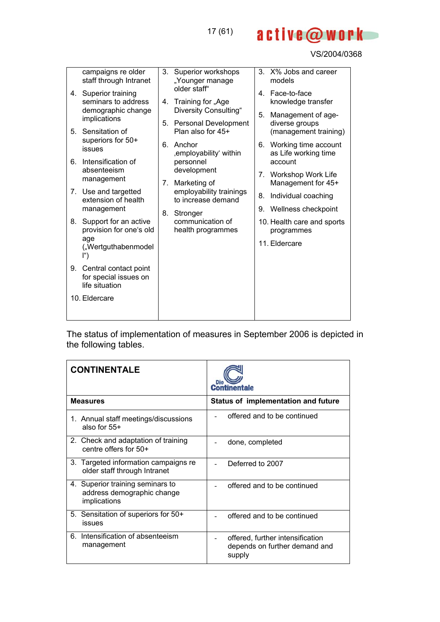B

active@work

| 6. | campaigns re older<br>staff through Intranet<br>4. Superior training<br>seminars to address<br>demographic change<br>implications<br>5. Sensitation of<br>superiors for 50+<br>issues<br>Intensification of<br>absenteeism<br>management   | 3.<br>4.<br>5.<br>6.<br>$7_{\scriptscriptstyle{\ddots}}$ | Superior workshops<br>"Younger manage<br>older staff"<br>Training for "Age<br>Diversity Consulting"<br><b>Personal Development</b><br>Plan also for 45+<br>Anchor<br>, employability' within<br>personnel<br>development<br>Marketing of | 5. | 3. X% Jobs and career<br>models<br>4. Face-to-face<br>knowledge transfer<br>Management of age-<br>diverse groups<br>(management training)<br>6. Working time account<br>as Life working time<br>account<br>7. Workshop Work Life<br>Management for 45+ |
|----|--------------------------------------------------------------------------------------------------------------------------------------------------------------------------------------------------------------------------------------------|----------------------------------------------------------|------------------------------------------------------------------------------------------------------------------------------------------------------------------------------------------------------------------------------------------|----|--------------------------------------------------------------------------------------------------------------------------------------------------------------------------------------------------------------------------------------------------------|
| 8. | 7. Use and targetted<br>extension of health<br>management<br>Support for an active<br>provision for one's old<br>age<br>("Wertguthabenmodel<br>ľ")<br>9. Central contact point<br>for special issues on<br>life situation<br>10. Eldercare | 8.                                                       | employability trainings<br>to increase demand<br>Stronger<br>communication of<br>health programmes                                                                                                                                       |    | 8. Individual coaching<br>9. Wellness checkpoint<br>10. Health care and sports<br>programmes<br>11. Eldercare                                                                                                                                          |

The status of implementation of measures in September 2006 is depicted in the following tables.

| <b>CONTINENTALE</b>                                                            | Die<br>Continentale                                                         |
|--------------------------------------------------------------------------------|-----------------------------------------------------------------------------|
| <b>Measures</b>                                                                | Status of implementation and future                                         |
| 1. Annual staff meetings/discussions<br>also for $55+$                         | offered and to be continued                                                 |
| 2. Check and adaptation of training<br>centre offers for 50+                   | done, completed                                                             |
| 3. Targeted information campaigns re<br>older staff through Intranet           | Deferred to 2007                                                            |
| 4. Superior training seminars to<br>address demographic change<br>implications | offered and to be continued                                                 |
| 5. Sensitation of superiors for 50+<br>issues                                  | offered and to be continued                                                 |
| 6. Intensification of absenteeism<br>management                                | offered, further intensification<br>depends on further demand and<br>supply |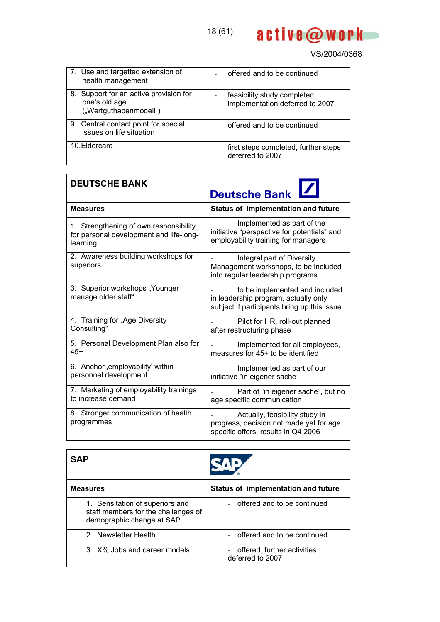

| 7. Use and targetted extension of<br>health management                            | offered and to be continued                                     |
|-----------------------------------------------------------------------------------|-----------------------------------------------------------------|
| 8. Support for an active provision for<br>one's old age<br>("Wertguthabenmodell") | feasibility study completed,<br>implementation deferred to 2007 |
| 9. Central contact point for special<br>issues on life situation                  | offered and to be continued                                     |
| 10. Eldercare                                                                     | first steps completed, further steps<br>deferred to 2007        |

| <b>DEUTSCHE BANK</b>                                  | Deutsche Bank                                                                                                         |  |  |  |
|-------------------------------------------------------|-----------------------------------------------------------------------------------------------------------------------|--|--|--|
| <b>Measures</b>                                       | Status of implementation and future                                                                                   |  |  |  |
| 1. Strengthening of own responsibility                | Implemented as part of the                                                                                            |  |  |  |
| for personal development and life-long-               | initiative "perspective for potentials" and                                                                           |  |  |  |
| learning                                              | employability training for managers                                                                                   |  |  |  |
| 2. Awareness building workshops for<br>superiors      | Integral part of Diversity<br>Management workshops, to be included<br>into regular leadership programs                |  |  |  |
| 3. Superior workshops "Younger<br>manage older staff" | to be implemented and included<br>in leadership program, actually only<br>subject if participants bring up this issue |  |  |  |
| 4. Training for "Age Diversity                        | Pilot for HR, roll-out planned                                                                                        |  |  |  |
| Consulting"                                           | after restructuring phase                                                                                             |  |  |  |
| 5. Personal Development Plan also for                 | Implemented for all employees,                                                                                        |  |  |  |
| $45+$                                                 | measures for 45+ to be identified                                                                                     |  |  |  |
| 6. Anchor , employability' within                     | Implemented as part of our                                                                                            |  |  |  |
| personnel development                                 | initiative "in eigener sache"                                                                                         |  |  |  |
| 7. Marketing of employability trainings               | Part of "in eigener sache", but no                                                                                    |  |  |  |
| to increase demand                                    | age specific communication                                                                                            |  |  |  |
| 8. Stronger communication of health<br>programmes     | Actually, feasibility study in<br>progress, decision not made yet for age<br>specific offers, results in Q4 2006      |  |  |  |

| SAP                                                                                                 |                                                   |
|-----------------------------------------------------------------------------------------------------|---------------------------------------------------|
| <b>Measures</b>                                                                                     | Status of implementation and future               |
| 1. Sensitation of superiors and<br>staff members for the challenges of<br>demographic change at SAP | - offered and to be continued                     |
| 2. Newsletter Health                                                                                | - offered and to be continued                     |
| 3. X% Jobs and career models                                                                        | - offered, further activities<br>deferred to 2007 |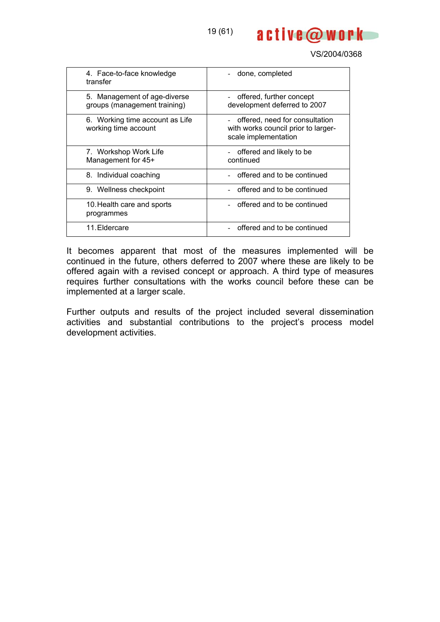

| 4. Face-to-face knowledge<br>transfer                        | done, completed                                                                                 |
|--------------------------------------------------------------|-------------------------------------------------------------------------------------------------|
| 5. Management of age-diverse<br>groups (management training) | offered, further concept<br>development deferred to 2007                                        |
| 6. Working time account as Life<br>working time account      | - offered, need for consultation<br>with works council prior to larger-<br>scale implementation |
| 7. Workshop Work Life<br>Management for 45+                  | offered and likely to be<br>continued                                                           |
| 8. Individual coaching                                       | - offered and to be continued                                                                   |
| 9. Wellness checkpoint                                       | offered and to be continued                                                                     |
| 10. Health care and sports<br>programmes                     | offered and to be continued                                                                     |
| 11. Eldercare                                                | offered and to be continued                                                                     |

It becomes apparent that most of the measures implemented will be continued in the future, others deferred to 2007 where these are likely to be offered again with a revised concept or approach. A third type of measures requires further consultations with the works council before these can be implemented at a larger scale.

Further outputs and results of the project included several dissemination activities and substantial contributions to the project's process model development activities.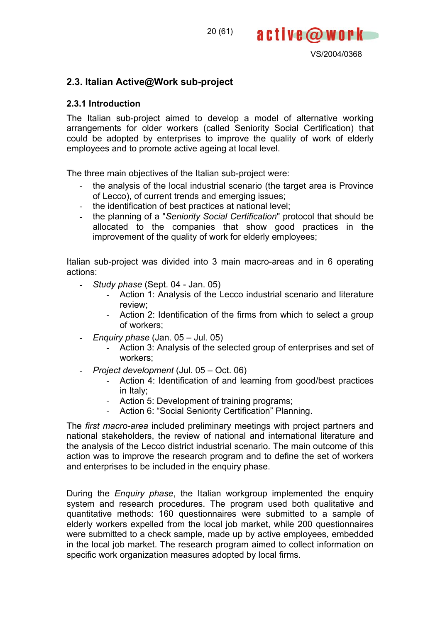

# **2.3. Italian Active@Work sub-project**

## **2.3.1 Introduction**

The Italian sub-project aimed to develop a model of alternative working arrangements for older workers (called Seniority Social Certification) that could be adopted by enterprises to improve the quality of work of elderly employees and to promote active ageing at local level.

The three main objectives of the Italian sub-project were:

- the analysis of the local industrial scenario (the target area is Province of Lecco), of current trends and emerging issues;
- the identification of best practices at national level;
- the planning of a "*Seniority Social Certification*" protocol that should be allocated to the companies that show good practices in the improvement of the quality of work for elderly employees;

Italian sub-project was divided into 3 main macro-areas and in 6 operating actions:

- *Study phase* (Sept. 04 Jan. 05)
	- Action 1: Analysis of the Lecco industrial scenario and literature review;
	- Action 2: Identification of the firms from which to select a group of workers;
- *Enquiry phase* (Jan. 05 Jul. 05)
	- Action 3: Analysis of the selected group of enterprises and set of workers;
- *Project development* (Jul. 05 Oct. 06)
	- Action 4: Identification of and learning from good/best practices in Italy;
	- Action 5: Development of training programs;
	- Action 6: "Social Seniority Certification" Planning.

The *first macro-area* included preliminary meetings with project partners and national stakeholders, the review of national and international literature and the analysis of the Lecco district industrial scenario. The main outcome of this action was to improve the research program and to define the set of workers and enterprises to be included in the enquiry phase.

During the *Enquiry phase*, the Italian workgroup implemented the enquiry system and research procedures. The program used both qualitative and quantitative methods: 160 questionnaires were submitted to a sample of elderly workers expelled from the local job market, while 200 questionnaires were submitted to a check sample, made up by active employees, embedded in the local job market. The research program aimed to collect information on specific work organization measures adopted by local firms.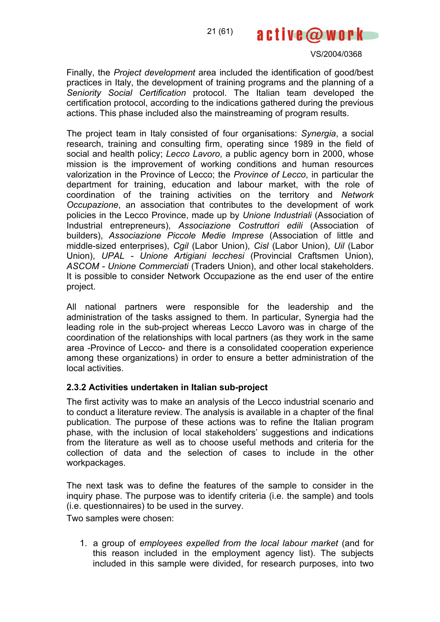21 (61)

VS/2004/0368

active@work

Finally, the *Project development* area included the identification of good/best practices in Italy, the development of training programs and the planning of a *Seniority Social Certification* protocol. The Italian team developed the certification protocol, according to the indications gathered during the previous actions. This phase included also the mainstreaming of program results.

The project team in Italy consisted of four organisations: *Synergia*, a social research, training and consulting firm, operating since 1989 in the field of social and health policy; *Lecco Lavoro*, a public agency born in 2000, whose mission is the improvement of working conditions and human resources valorization in the Province of Lecco; the *Province of Lecco*, in particular the department for training, education and labour market, with the role of coordination of the training activities on the territory and *Network Occupazione*, an association that contributes to the development of work policies in the Lecco Province, made up by *Unione Industriali* (Association of Industrial entrepreneurs), *Associazione Costruttori edili* (Association of builders), *Associazione Piccole Medie Imprese* (Association of little and middle-sized enterprises), *Cgil* (Labor Union), *Cisl* (Labor Union), *Uil* (Labor Union), *UPAL - Unione Artigiani lecchesi* (Provincial Craftsmen Union), *ASCOM - Unione Commerciati* (Traders Union), and other local stakeholders. It is possible to consider Network Occupazione as the end user of the entire project.

All national partners were responsible for the leadership and the administration of the tasks assigned to them. In particular, Synergia had the leading role in the sub-project whereas Lecco Lavoro was in charge of the coordination of the relationships with local partners (as they work in the same area -Province of Lecco- and there is a consolidated cooperation experience among these organizations) in order to ensure a better administration of the local activities.

## **2.3.2 Activities undertaken in Italian sub-project**

The first activity was to make an analysis of the Lecco industrial scenario and to conduct a literature review. The analysis is available in a chapter of the final publication. The purpose of these actions was to refine the Italian program phase, with the inclusion of local stakeholders' suggestions and indications from the literature as well as to choose useful methods and criteria for the collection of data and the selection of cases to include in the other workpackages.

The next task was to define the features of the sample to consider in the inquiry phase. The purpose was to identify criteria (i.e. the sample) and tools (i.e. questionnaires) to be used in the survey.

Two samples were chosen:

1. a group of *employees expelled from the local labour market* (and for this reason included in the employment agency list). The subjects included in this sample were divided, for research purposes, into two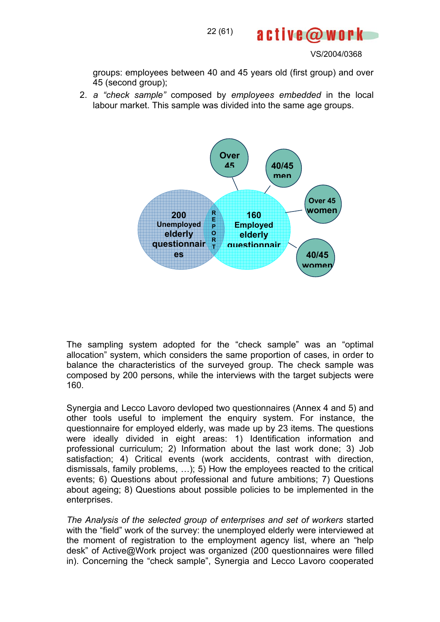

groups: employees between 40 and 45 years old (first group) and over 45 (second group);

2. *a "check sample"* composed by *employees embedded* in the local labour market. This sample was divided into the same age groups.



The sampling system adopted for the "check sample" was an "optimal allocation" system, which considers the same proportion of cases, in order to balance the characteristics of the surveyed group. The check sample was composed by 200 persons, while the interviews with the target subjects were 160.

Synergia and Lecco Lavoro devloped two questionnaires (Annex 4 and 5) and other tools useful to implement the enquiry system. For instance, the questionnaire for employed elderly, was made up by 23 items. The questions were ideally divided in eight areas: 1) Identification information and professional curriculum; 2) Information about the last work done; 3) Job satisfaction; 4) Critical events (work accidents, contrast with direction, dismissals, family problems, …); 5) How the employees reacted to the critical events; 6) Questions about professional and future ambitions; 7) Questions about ageing; 8) Questions about possible policies to be implemented in the enterprises.

*The Analysis of the selected group of enterprises and set of workers* started with the "field" work of the survey: the unemployed elderly were interviewed at the moment of registration to the employment agency list, where an "help desk" of Active@Work project was organized (200 questionnaires were filled in). Concerning the "check sample", Synergia and Lecco Lavoro cooperated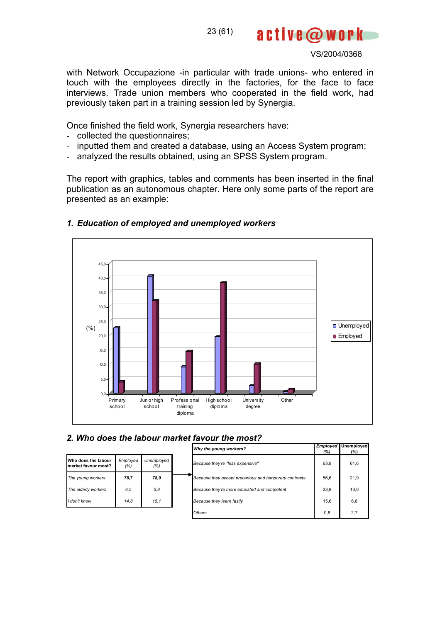23 (61)

VS/2004/0368

active@work

with Network Occupazione -in particular with trade unions- who entered in touch with the employees directly in the factories, for the face to face interviews. Trade union members who cooperated in the field work, had previously taken part in a training session led by Synergia.

Once finished the field work, Synergia researchers have:

- collected the questionnaires;
- inputted them and created a database, using an Access System program;
- analyzed the results obtained, using an SPSS System program.

The report with graphics, tables and comments has been inserted in the final publication as an autonomous chapter. Here only some parts of the report are presented as an example:



#### *1. Education of employed and unemployed workers*

## *2. Who does the labour market favour the most?*

|                                            |                 |                   | Why the young workers?                                 | Employed<br>(%) | Unemployed<br>(%) |
|--------------------------------------------|-----------------|-------------------|--------------------------------------------------------|-----------------|-------------------|
| Who does the labour<br>market favour most? | Employed<br>(%) | Unemployed<br>(%) | Because they're "less expensive"                       | 63.9            | 61,6              |
| The young workers                          | 78,7            | 78,9              | Because they accept precarious and temporary contracts | 56.6            | 21,9              |
| The elderly workers                        | 6.5             | 5, 9              | Because they're more educated and competent            | 23,8            | 13.0              |
| I don't know                               | 14.8            | 15.1              | Because they learn fastly                              | 15.6            | 6,8               |
|                                            |                 |                   | Others                                                 | 0,8             | 2,7               |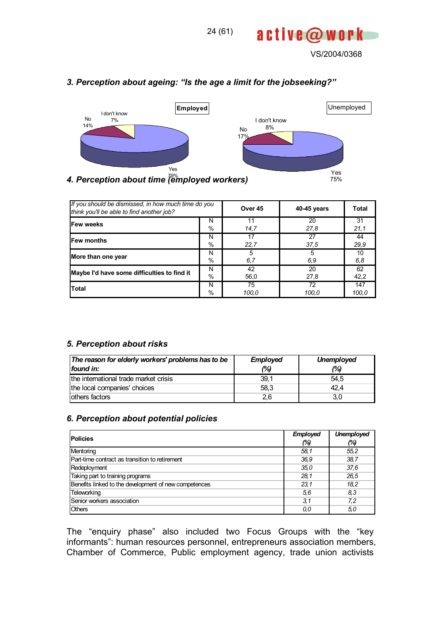



## *3. Perception about ageing: "Is the age a limit for the jobseeking?"*

| If you should be dismissed, in how much time do you<br>think you'll be able to find another job? | Over 45 | 40-45 years | Total |       |
|--------------------------------------------------------------------------------------------------|---------|-------------|-------|-------|
| Few weeks                                                                                        | N       | 11          | 20    | 31    |
|                                                                                                  | $\%$    | 14,7        | 27,8  | 21,1  |
| <b>Few months</b>                                                                                | N       | 17          | 27    | 44    |
|                                                                                                  | $\%$    | 22.7        | 37,5  | 29.9  |
| More than one year                                                                               | N       | 5           | 5     | 10    |
|                                                                                                  | $\%$    | 6,7         | 6,9   | 6,8   |
| Maybe I'd have some difficulties to find it                                                      | N       | 42          | 20    | 62    |
|                                                                                                  | %       | 56,0        | 27,8  | 42,2  |
| <b>Total</b>                                                                                     | N       | 75          | 72    | 147   |
|                                                                                                  | $\%$    | 100,0       | 100,0 | 100,0 |

#### *5. Perception about risks*

| The reason for elderly workers' problems has to be | <b>Employed</b> | <b>Unemployed</b> |
|----------------------------------------------------|-----------------|-------------------|
| found in:                                          | (%)             | (%)               |
| the international trade market crisis              | 39,1            | 54.5              |
| the local companies' choices                       | 58.3            | 42.4              |
| lothers factors                                    | 2,6             | 3,0               |

## *6. Perception about potential policies*

| <b>Policies</b>                                       | Employed | <b>Unemployed</b> |
|-------------------------------------------------------|----------|-------------------|
|                                                       | (%)      | (%)               |
| Mentoring                                             | 58,1     | 55.2              |
| Part-time contract as transition to retirement        | 36.9     | 38.7              |
| Redeployment                                          | 35.0     | 37,6              |
| Taking part to training programs                      | 28,1     | 26.5              |
| Benefits linked to the development of new competences | 23.1     | 18.2              |
| Teleworking                                           | 5,6      | 8,3               |
| Senior workers association                            | 3,1      | 7,2               |
| <b>Others</b>                                         | 0,0      | 5,0               |

The "enquiry phase" also included two Focus Groups with the "key informants": human resources personnel, entrepreneurs association members, Chamber of Commerce, Public employment agency, trade union activists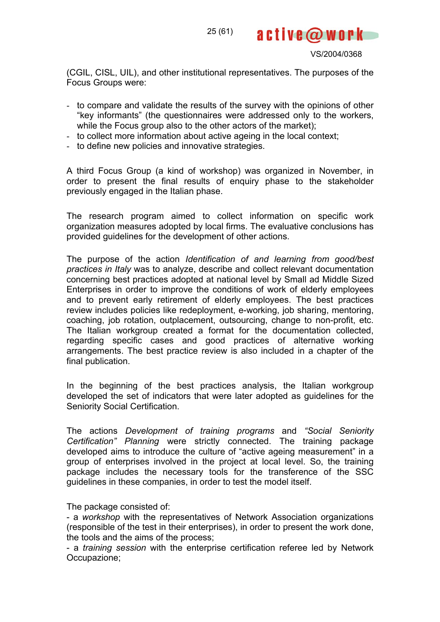VS/2004/0368

(CGIL, CISL, UIL), and other institutional representatives. The purposes of the Focus Groups were:

25 (61)

- to compare and validate the results of the survey with the opinions of other "key informants" (the questionnaires were addressed only to the workers, while the Focus group also to the other actors of the market):
- to collect more information about active ageing in the local context;
- to define new policies and innovative strategies.

A third Focus Group (a kind of workshop) was organized in November, in order to present the final results of enquiry phase to the stakeholder previously engaged in the Italian phase.

The research program aimed to collect information on specific work organization measures adopted by local firms. The evaluative conclusions has provided guidelines for the development of other actions.

The purpose of the action *Identification of and learning from good/best practices in Italy* was to analyze, describe and collect relevant documentation concerning best practices adopted at national level by Small ad Middle Sized Enterprises in order to improve the conditions of work of elderly employees and to prevent early retirement of elderly employees. The best practices review includes policies like redeployment, e-working, job sharing, mentoring, coaching, job rotation, outplacement, outsourcing, change to non-profit, etc. The Italian workgroup created a format for the documentation collected, regarding specific cases and good practices of alternative working arrangements. The best practice review is also included in a chapter of the final publication.

In the beginning of the best practices analysis, the Italian workgroup developed the set of indicators that were later adopted as guidelines for the Seniority Social Certification.

The actions *Development of training programs* and *"Social Seniority Certification" Planning* were strictly connected. The training package developed aims to introduce the culture of "active ageing measurement" in a group of enterprises involved in the project at local level. So, the training package includes the necessary tools for the transference of the SSC guidelines in these companies, in order to test the model itself.

The package consisted of:

- a *workshop* with the representatives of Network Association organizations (responsible of the test in their enterprises), in order to present the work done, the tools and the aims of the process;

- a *training session* with the enterprise certification referee led by Network Occupazione;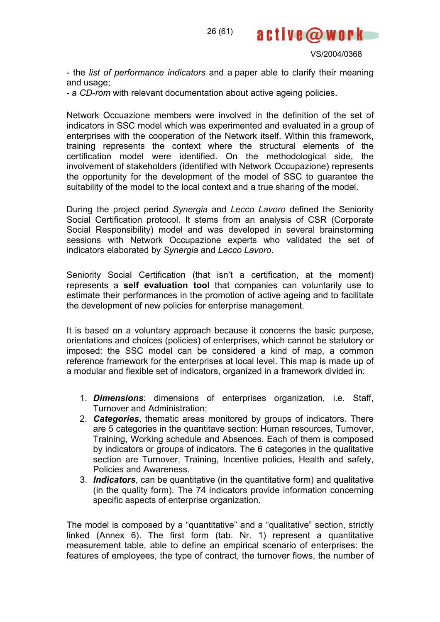

active@work

- the *list of performance indicators* and a paper able to clarify their meaning and usage;

- a *CD-rom* with relevant documentation about active ageing policies.

Network Occuazione members were involved in the definition of the set of indicators in SSC model which was experimented and evaluated in a group of enterprises with the cooperation of the Network itself. Within this framework, training represents the context where the structural elements of the certification model were identified. On the methodological side, the involvement of stakeholders (identified with Network Occupazione) represents the opportunity for the development of the model of SSC to guarantee the suitability of the model to the local context and a true sharing of the model.

During the project period *Synergia* and *Lecco Lavoro* defined the Seniority Social Certification protocol. It stems from an analysis of CSR (Corporate Social Responsibility) model and was developed in several brainstorming sessions with Network Occupazione experts who validated the set of indicators elaborated by *Synergia* and *Lecco Lavoro*.

Seniority Social Certification (that isn't a certification, at the moment) represents a **self evaluation tool** that companies can voluntarily use to estimate their performances in the promotion of active ageing and to facilitate the development of new policies for enterprise management.

It is based on a voluntary approach because it concerns the basic purpose, orientations and choices (policies) of enterprises, which cannot be statutory or imposed: the SSC model can be considered a kind of map, a common reference framework for the enterprises at local level. This map is made up of a modular and flexible set of indicators, organized in a framework divided in:

- 1. *Dimensions*: dimensions of enterprises organization, i.e. Staff, Turnover and Administration;
- 2. *Categories*, thematic areas monitored by groups of indicators. There are 5 categories in the quantitave section: Human resources, Turnover, Training, Working schedule and Absences. Each of them is composed by indicators or groups of indicators. The 6 categories in the qualitative section are Turnover, Training, Incentive policies, Health and safety, Policies and Awareness.
- 3. *Indicators*, can be quantitative (in the quantitative form) and qualitative (in the quality form). The 74 indicators provide information concerning specific aspects of enterprise organization.

The model is composed by a "quantitative" and a "qualitative" section, strictly linked (Annex 6). The first form (tab. Nr. 1) represent a quantitative measurement table, able to define an empirical scenario of enterprises: the features of employees, the type of contract, the turnover flows, the number of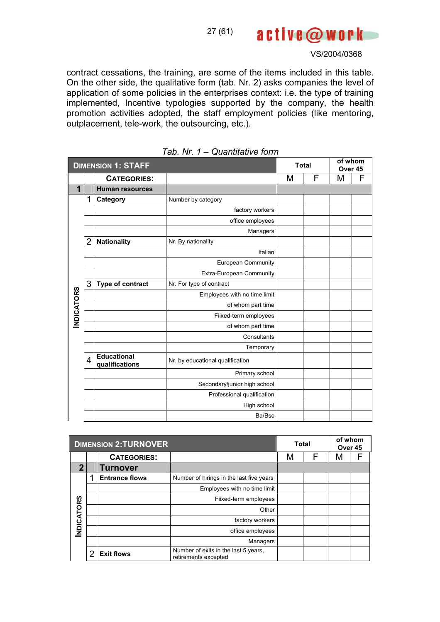active@work 27 (61)

VS/2004/0368

contract cessations, the training, are some of the items included in this table. On the other side, the qualitative form (tab. Nr. 2) asks companies the level of application of some policies in the enterprises context: i.e. the type of training implemented, Incentive typologies supported by the company, the health promotion activities adopted, the staff employment policies (like mentoring, outplacement, tele-work, the outsourcing, etc.).

|                   | <b>DIMENSION 1: STAFF</b> |                                      |                                  | <b>Total</b> |   | of whom<br>Over 45 |   |
|-------------------|---------------------------|--------------------------------------|----------------------------------|--------------|---|--------------------|---|
|                   |                           | <b>CATEGORIES:</b>                   |                                  | M            | F | M                  | F |
| 1                 |                           | <b>Human resources</b>               |                                  |              |   |                    |   |
|                   | 1                         | Category                             | Number by category               |              |   |                    |   |
|                   |                           |                                      | factory workers                  |              |   |                    |   |
|                   |                           |                                      | office employees                 |              |   |                    |   |
|                   |                           |                                      | Managers                         |              |   |                    |   |
|                   | 2                         | <b>Nationality</b>                   | Nr. By nationality               |              |   |                    |   |
|                   |                           |                                      | Italian                          |              |   |                    |   |
|                   |                           |                                      | European Community               |              |   |                    |   |
|                   |                           |                                      | Extra-European Community         |              |   |                    |   |
|                   | 3                         | Type of contract                     | Nr. For type of contract         |              |   |                    |   |
|                   |                           |                                      | Employees with no time limit     |              |   |                    |   |
|                   |                           |                                      | of whom part time                |              |   |                    |   |
| <b>INDICATORS</b> |                           |                                      | Fiixed-term employees            |              |   |                    |   |
|                   |                           |                                      | of whom part time                |              |   |                    |   |
|                   |                           |                                      | Consultants                      |              |   |                    |   |
|                   |                           |                                      | Temporary                        |              |   |                    |   |
|                   | 4                         | <b>Educational</b><br>qualifications | Nr. by educational qualification |              |   |                    |   |
|                   |                           |                                      | Primary school                   |              |   |                    |   |
|                   |                           |                                      | Secondary/junior high school     |              |   |                    |   |
|                   |                           |                                      | Professional qualification       |              |   |                    |   |
|                   |                           |                                      | High school                      |              |   |                    |   |
|                   |                           |                                      | Ba/Bsc                           |              |   |                    |   |

|  |  |  | Tab. Nr. 1 – Quantitative form |
|--|--|--|--------------------------------|
|--|--|--|--------------------------------|

|             | <b>DIMENSION 2:TURNOVER</b> |                       | <b>Total</b>                                                 |   | of whom<br>Over 45 |   |  |
|-------------|-----------------------------|-----------------------|--------------------------------------------------------------|---|--------------------|---|--|
|             |                             | <b>CATEGORIES:</b>    |                                                              | М | F                  | М |  |
| $\mathbf 2$ |                             | Turnover              |                                                              |   |                    |   |  |
|             | 1                           | <b>Entrance flows</b> | Number of hirings in the last five years                     |   |                    |   |  |
|             |                             |                       | Employees with no time limit                                 |   |                    |   |  |
|             |                             |                       | Fiixed-term employees                                        |   |                    |   |  |
| NDICATORS   |                             |                       | Other                                                        |   |                    |   |  |
|             |                             |                       | factory workers                                              |   |                    |   |  |
|             |                             |                       | office employees                                             |   |                    |   |  |
|             |                             |                       | Managers                                                     |   |                    |   |  |
|             | າ                           | <b>Exit flows</b>     | Number of exits in the last 5 years,<br>retirements excepted |   |                    |   |  |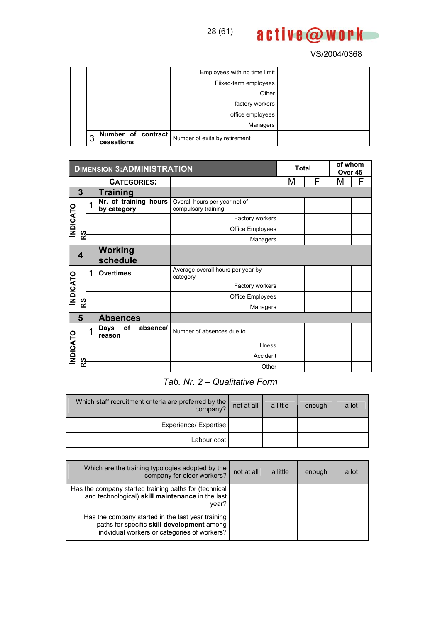

|   |                                  | Employees with no time limit  |  |  |
|---|----------------------------------|-------------------------------|--|--|
|   |                                  | Fiixed-term employees         |  |  |
|   |                                  | Other                         |  |  |
|   |                                  | factory workers               |  |  |
|   |                                  | office employees              |  |  |
|   |                                  | Managers                      |  |  |
| 3 | Number of contract<br>cessations | Number of exits by retirement |  |  |

|                | <b>DIMENSION 3:ADMINISTRATION</b> |                                         | <b>Total</b>                                         |        | of whom<br>Over 45 |   |   |
|----------------|-----------------------------------|-----------------------------------------|------------------------------------------------------|--------|--------------------|---|---|
|                |                                   | <b>CATEGORIES:</b>                      |                                                      | F<br>M |                    | M | F |
| 3              |                                   | Training                                |                                                      |        |                    |   |   |
|                | 1                                 | Nr. of training hours<br>by category    | Overall hours per year net of<br>compulsary training |        |                    |   |   |
|                |                                   |                                         | Factory workers                                      |        |                    |   |   |
| <b>NDICATO</b> |                                   |                                         | Office Employees                                     |        |                    |   |   |
| 83             |                                   |                                         | Managers                                             |        |                    |   |   |
| 4              |                                   | Working<br>schedule                     |                                                      |        |                    |   |   |
|                | 1                                 | <b>Overtimes</b>                        | Average overall hours per year by<br>category        |        |                    |   |   |
|                |                                   |                                         | Factory workers                                      |        |                    |   |   |
| <b>NDICATO</b> |                                   |                                         | Office Employees                                     |        |                    |   |   |
| RS             |                                   |                                         | Managers                                             |        |                    |   |   |
| 5              |                                   | <b>Absences</b>                         |                                                      |        |                    |   |   |
|                |                                   | of<br>absence/<br><b>Days</b><br>reason | Number of absences due to                            |        |                    |   |   |
| <b>NDICATO</b> |                                   |                                         | <b>Illness</b>                                       |        |                    |   |   |
|                |                                   |                                         | Accident                                             |        |                    |   |   |
| RS             |                                   |                                         | Other                                                |        |                    |   |   |

# *Tab. Nr. 2 – Qualitative Form*

| Which staff recruitment criteria are preferred by the  <br>company? | not at all | a little | enough | a lot |
|---------------------------------------------------------------------|------------|----------|--------|-------|
| Experience/ Expertise                                               |            |          |        |       |
| Labour cost                                                         |            |          |        |       |

| Which are the training typologies adopted by the<br>company for older workers?                                                                 | not at all | a little | enough | a lot |
|------------------------------------------------------------------------------------------------------------------------------------------------|------------|----------|--------|-------|
| Has the company started training paths for (technical<br>and technological) skill maintenance in the last<br>vear?                             |            |          |        |       |
| Has the company started in the last year training<br>paths for specific skill development among<br>indvidual workers or categories of workers? |            |          |        |       |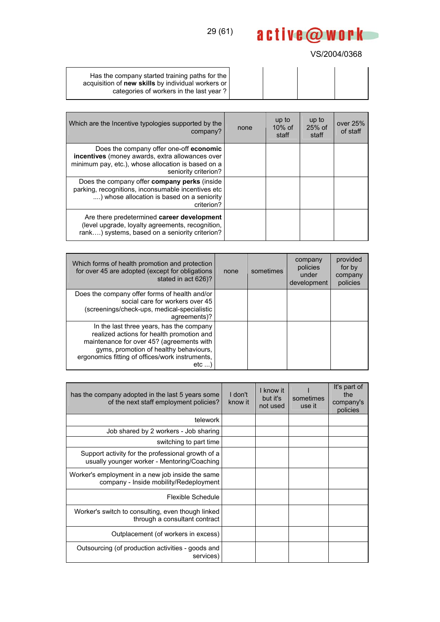## VS/2004/0368

| Has the company started training paths for the<br>acquisition of new skills by individual workers or<br>categories of workers in the last year? |  |  |
|-------------------------------------------------------------------------------------------------------------------------------------------------|--|--|

| Which are the Incentive typologies supported by the<br>company?                                                                                                                 | none | up to<br>$10\%$ of<br>staff | up to<br>$25%$ of<br>staff | over 25%<br>of staff |
|---------------------------------------------------------------------------------------------------------------------------------------------------------------------------------|------|-----------------------------|----------------------------|----------------------|
| Does the company offer one-off <b>economic</b><br>incentives (money awards, extra allowances over<br>minimum pay, etc.), whose allocation is based on a<br>seniority criterion? |      |                             |                            |                      |
| Does the company offer <b>company perks</b> (inside<br>parking, recognitions, inconsumable incentives etc<br>) whose allocation is based on a seniority<br>criterion?           |      |                             |                            |                      |
| Are there predetermined career development<br>(level upgrade, loyalty agreements, recognition,<br>rank) systems, based on a seniority criterion?                                |      |                             |                            |                      |

| Which forms of health promotion and protection<br>for over 45 are adopted (except for obligations<br>stated in act 626)?                                                                                                               | none | sometimes | company<br>policies<br>under<br>development | provided<br>for by<br>company<br>policies |
|----------------------------------------------------------------------------------------------------------------------------------------------------------------------------------------------------------------------------------------|------|-----------|---------------------------------------------|-------------------------------------------|
| Does the company offer forms of health and/or<br>social care for workers over 45<br>(screenings/check-ups, medical-specialistic<br>agreements)?                                                                                        |      |           |                                             |                                           |
| In the last three years, has the company<br>realized actions for health promotion and<br>maintenance for over 45? (agreements with<br>gyms, promotion of healthy behaviours,<br>ergonomics fitting of offices/work instruments,<br>etc |      |           |                                             |                                           |

| has the company adopted in the last 5 years some<br>of the next staff employment policies?       | I don't<br>know it | I know it<br>but it's<br>not used | sometimes<br>use it | It's part of<br>the<br>company's<br>policies |
|--------------------------------------------------------------------------------------------------|--------------------|-----------------------------------|---------------------|----------------------------------------------|
| telework                                                                                         |                    |                                   |                     |                                              |
| Job shared by 2 workers - Job sharing                                                            |                    |                                   |                     |                                              |
| switching to part time                                                                           |                    |                                   |                     |                                              |
| Support activity for the professional growth of a<br>usually younger worker - Mentoring/Coaching |                    |                                   |                     |                                              |
| Worker's employment in a new job inside the same<br>company - Inside mobility/Redeployment       |                    |                                   |                     |                                              |
| Flexible Schedule                                                                                |                    |                                   |                     |                                              |
| Worker's switch to consulting, even though linked<br>through a consultant contract               |                    |                                   |                     |                                              |
| Outplacement (of workers in excess)                                                              |                    |                                   |                     |                                              |
| Outsourcing (of production activities - goods and<br>services)                                   |                    |                                   |                     |                                              |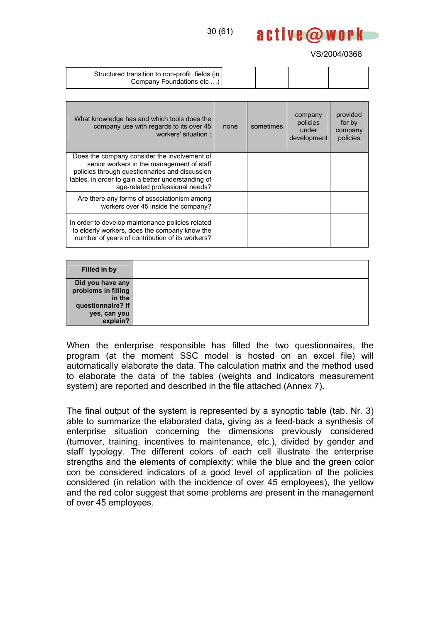## 30 (61)

#### VS/2004/0368

active@work

| Structured transition to non-profit fields (in<br>Company Foundations etc ) |  |  |  |
|-----------------------------------------------------------------------------|--|--|--|
|-----------------------------------------------------------------------------|--|--|--|

| What knowledge has and which tools does the<br>company use with regards to its over 45<br>workers' situation:                                                                                                                        | none | sometimes | company<br>policies<br>under<br>development | provided<br>for by<br>company<br>policies |
|--------------------------------------------------------------------------------------------------------------------------------------------------------------------------------------------------------------------------------------|------|-----------|---------------------------------------------|-------------------------------------------|
| Does the company consider the involvement of<br>senior workers in the management of staff<br>policies through questionnaries and discussion<br>tables, in order to gain a better understanding of<br>age-related professional needs? |      |           |                                             |                                           |
| Are there any forms of associationism among<br>workers over 45 inside the company?                                                                                                                                                   |      |           |                                             |                                           |
| In order to develop maintenance policies related<br>to elderly workers, does the company know the<br>number of years of contribution of its workers?                                                                                 |      |           |                                             |                                           |

| <b>Filled in by</b> |  |
|---------------------|--|
| Did you have any    |  |
| problems in filling |  |
| in the              |  |
| questionnaire? If   |  |
| yes, can you        |  |
| explain?            |  |

When the enterprise responsible has filled the two questionnaires, the program (at the moment SSC model is hosted on an excel file) will automatically elaborate the data. The calculation matrix and the method used to elaborate the data of the tables (weights and indicators measurement system) are reported and described in the file attached (Annex 7).

The final output of the system is represented by a synoptic table (tab. Nr. 3) able to summarize the elaborated data, giving as a feed-back a synthesis of enterprise situation concerning the dimensions previously considered (turnover, training, incentives to maintenance, etc.), divided by gender and staff typology. The different colors of each cell illustrate the enterprise strengths and the elements of complexity: while the blue and the green color con be considered indicators of a good level of application of the policies considered (in relation with the incidence of over 45 employees), the yellow and the red color suggest that some problems are present in the management of over 45 employees.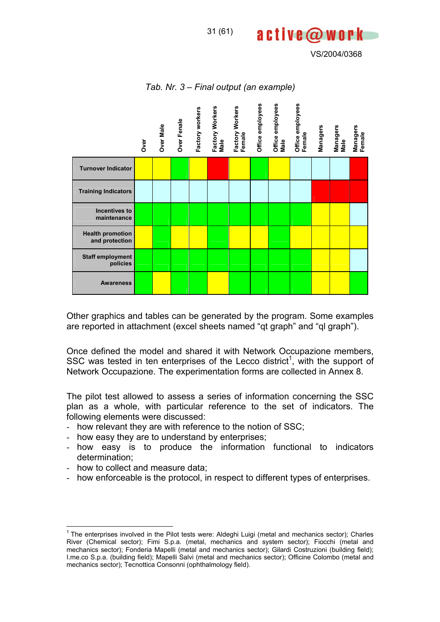VS/2004/0368



*Tab. Nr. 3 – Final output (an example)* 

Other graphics and tables can be generated by the program. Some examples are reported in attachment (excel sheets named "qt graph" and "ql graph").

Once defined the model and shared it with Network Occupazione members, SSC was tested in ten enterprises of the Lecco district<sup>1</sup>, with the support of Network Occupazione. The experimentation forms are collected in Annex 8.

The pilot test allowed to assess a series of information concerning the SSC plan as a whole, with particular reference to the set of indicators. The following elements were discussed:

- how relevant they are with reference to the notion of SSC;
- how easy they are to understand by enterprises;
- how easy is to produce the information functional to indicators determination;
- how to collect and measure data;

 $\overline{a}$ 

- how enforceable is the protocol, in respect to different types of enterprises.

<sup>&</sup>lt;sup>1</sup> The enterprises involved in the Pilot tests were: Aldeghi Luigi (metal and mechanics sector); Charles River (Chemical sector); Fimi S.p.a. (metal, mechanics and system sector); Fiocchi (metal and mechanics sector); Fonderia Mapelli (metal and mechanics sector); Gilardi Costruzioni (building field); I.me.co S.p.a. (building field); Mapelli Salvi (metal and mechanics sector); Officine Colombo (metal and mechanics sector); Tecnottica Consonni (ophthalmology field).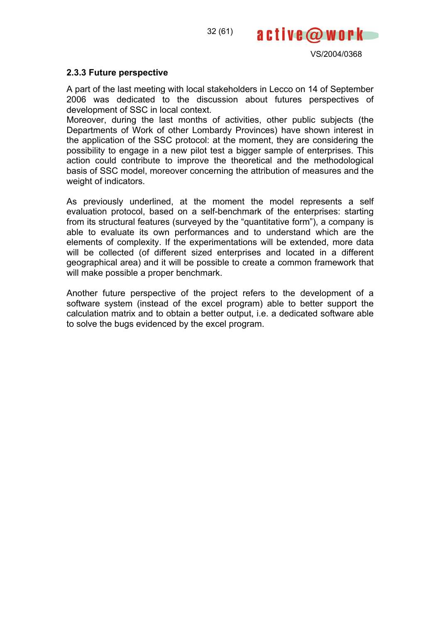32 (61)



#### **2.3.3 Future perspective**

A part of the last meeting with local stakeholders in Lecco on 14 of September 2006 was dedicated to the discussion about futures perspectives of development of SSC in local context.

Moreover, during the last months of activities, other public subjects (the Departments of Work of other Lombardy Provinces) have shown interest in the application of the SSC protocol: at the moment, they are considering the possibility to engage in a new pilot test a bigger sample of enterprises. This action could contribute to improve the theoretical and the methodological basis of SSC model, moreover concerning the attribution of measures and the weight of indicators.

As previously underlined, at the moment the model represents a self evaluation protocol, based on a self-benchmark of the enterprises: starting from its structural features (surveyed by the "quantitative form"), a company is able to evaluate its own performances and to understand which are the elements of complexity. If the experimentations will be extended, more data will be collected (of different sized enterprises and located in a different geographical area) and it will be possible to create a common framework that will make possible a proper benchmark.

Another future perspective of the project refers to the development of a software system (instead of the excel program) able to better support the calculation matrix and to obtain a better output, i.e. a dedicated software able to solve the bugs evidenced by the excel program.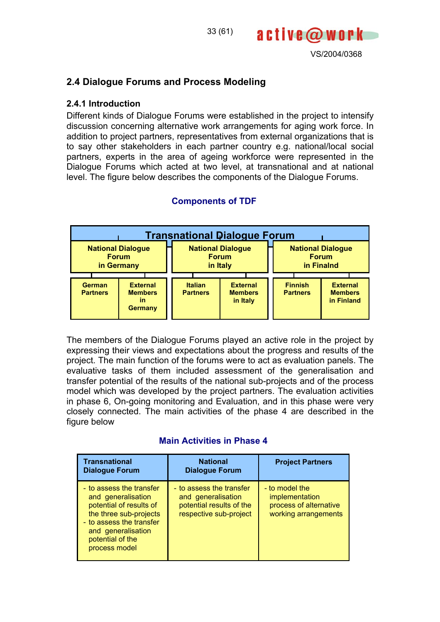

# **2.4 Dialogue Forums and Process Modeling**

#### **2.4.1 Introduction**

Different kinds of Dialogue Forums were established in the project to intensify discussion concerning alternative work arrangements for aging work force. In addition to project partners, representatives from external organizations that is to say other stakeholders in each partner country e.g. national/local social partners, experts in the area of ageing workforce were represented in the Dialogue Forums which acted at two level, at transnational and at national level. The figure below describes the components of the Dialogue Forums.

33 (61)



## **Components of TDF**

The members of the Dialogue Forums played an active role in the project by expressing their views and expectations about the progress and results of the project. The main function of the forums were to act as evaluation panels. The evaluative tasks of them included assessment of the generalisation and transfer potential of the results of the national sub-projects and of the process model which was developed by the project partners. The evaluation activities in phase 6, On-going monitoring and Evaluation, and in this phase were very closely connected. The main activities of the phase 4 are described in the figure below

#### **Main Activities in Phase 4**

| <b>Transnational</b><br><b>Dialogue Forum</b>                                                                                                                                              | <b>National</b><br><b>Dialogue Forum</b>                                                             | <b>Project Partners</b>                                                            |
|--------------------------------------------------------------------------------------------------------------------------------------------------------------------------------------------|------------------------------------------------------------------------------------------------------|------------------------------------------------------------------------------------|
| - to assess the transfer<br>and generalisation<br>potential of results of<br>the three sub-projects<br>- to assess the transfer<br>and generalisation<br>potential of the<br>process model | - to assess the transfer<br>and generalisation<br>potential results of the<br>respective sub-project | - to model the<br>implementation<br>process of alternative<br>working arrangements |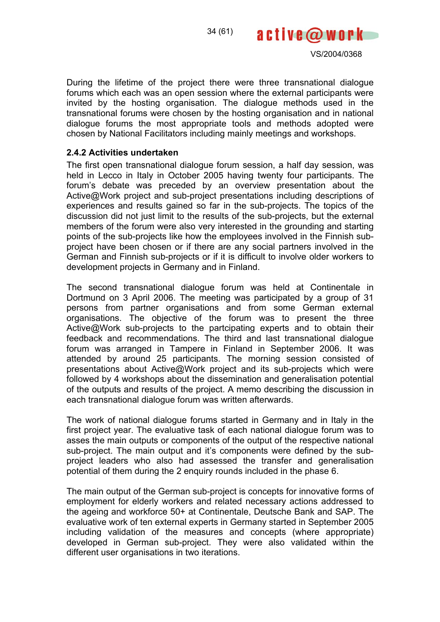

During the lifetime of the project there were three transnational dialogue forums which each was an open session where the external participants were invited by the hosting organisation. The dialogue methods used in the transnational forums were chosen by the hosting organisation and in national dialogue forums the most appropriate tools and methods adopted were chosen by National Facilitators including mainly meetings and workshops.

#### **2.4.2 Activities undertaken**

The first open transnational dialogue forum session, a half day session, was held in Lecco in Italy in October 2005 having twenty four participants. The forum's debate was preceded by an overview presentation about the Active@Work project and sub-project presentations including descriptions of experiences and results gained so far in the sub-projects. The topics of the discussion did not just limit to the results of the sub-projects, but the external members of the forum were also very interested in the grounding and starting points of the sub-projects like how the employees involved in the Finnish subproject have been chosen or if there are any social partners involved in the German and Finnish sub-projects or if it is difficult to involve older workers to development projects in Germany and in Finland.

The second transnational dialogue forum was held at Continentale in Dortmund on 3 April 2006. The meeting was participated by a group of 31 persons from partner organisations and from some German external organisations. The objective of the forum was to present the three Active@Work sub-projects to the partcipating experts and to obtain their feedback and recommendations. The third and last transnational dialogue forum was arranged in Tampere in Finland in September 2006. It was attended by around 25 participants. The morning session consisted of presentations about Active@Work project and its sub-projects which were followed by 4 workshops about the dissemination and generalisation potential of the outputs and results of the project. A memo describing the discussion in each transnational dialogue forum was written afterwards.

The work of national dialogue forums started in Germany and in Italy in the first project year. The evaluative task of each national dialogue forum was to asses the main outputs or components of the output of the respective national sub-project. The main output and it's components were defined by the subproject leaders who also had assessed the transfer and generalisation potential of them during the 2 enquiry rounds included in the phase 6.

The main output of the German sub-project is concepts for innovative forms of employment for elderly workers and related necessary actions addressed to the ageing and workforce 50+ at Continentale, Deutsche Bank and SAP. The evaluative work of ten external experts in Germany started in September 2005 including validation of the measures and concepts (where appropriate) developed in German sub-project. They were also validated within the different user organisations in two iterations.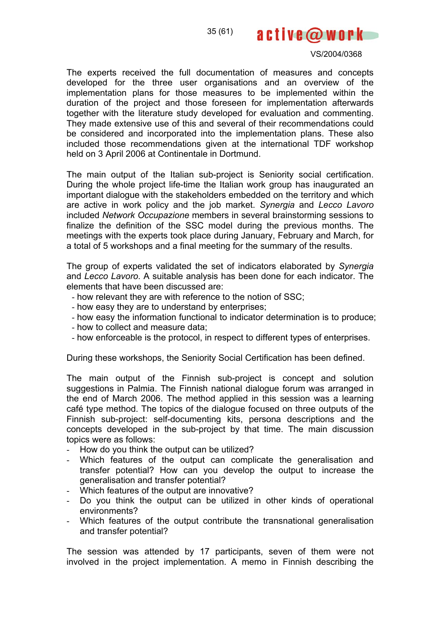35 (61)



#### VS/2004/0368

The experts received the full documentation of measures and concepts developed for the three user organisations and an overview of the implementation plans for those measures to be implemented within the duration of the project and those foreseen for implementation afterwards together with the literature study developed for evaluation and commenting. They made extensive use of this and several of their recommendations could be considered and incorporated into the implementation plans. These also included those recommendations given at the international TDF workshop held on 3 April 2006 at Continentale in Dortmund.

The main output of the Italian sub-project is Seniority social certification. During the whole project life-time the Italian work group has inaugurated an important dialogue with the stakeholders embedded on the territory and which are active in work policy and the job market. *Synergia* and *Lecco Lavoro* included *Network Occupazione* members in several brainstorming sessions to finalize the definition of the SSC model during the previous months. The meetings with the experts took place during January, February and March, for a total of 5 workshops and a final meeting for the summary of the results.

The group of experts validated the set of indicators elaborated by *Synergia* and *Lecco Lavoro*. A suitable analysis has been done for each indicator. The elements that have been discussed are:

- how relevant they are with reference to the notion of SSC;
- how easy they are to understand by enterprises;
- how easy the information functional to indicator determination is to produce;
- how to collect and measure data;
- how enforceable is the protocol, in respect to different types of enterprises.

During these workshops, the Seniority Social Certification has been defined.

The main output of the Finnish sub-project is concept and solution suggestions in Palmia. The Finnish national dialogue forum was arranged in the end of March 2006. The method applied in this session was a learning café type method. The topics of the dialogue focused on three outputs of the Finnish sub-project: self-documenting kits, persona descriptions and the concepts developed in the sub-project by that time. The main discussion topics were as follows:

- How do you think the output can be utilized?
- Which features of the output can complicate the generalisation and transfer potential? How can you develop the output to increase the generalisation and transfer potential?
- Which features of the output are innovative?
- Do you think the output can be utilized in other kinds of operational environments?
- Which features of the output contribute the transnational generalisation and transfer potential?

The session was attended by 17 participants, seven of them were not involved in the project implementation. A memo in Finnish describing the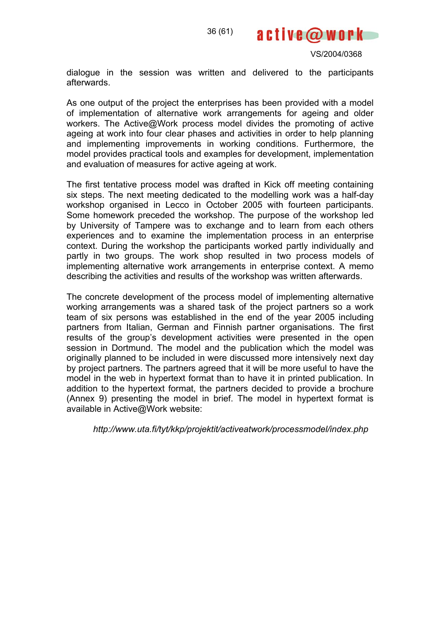

dialogue in the session was written and delivered to the participants afterwards.

As one output of the project the enterprises has been provided with a model of implementation of alternative work arrangements for ageing and older workers. The Active@Work process model divides the promoting of active ageing at work into four clear phases and activities in order to help planning and implementing improvements in working conditions. Furthermore, the model provides practical tools and examples for development, implementation and evaluation of measures for active ageing at work.

The first tentative process model was drafted in Kick off meeting containing six steps. The next meeting dedicated to the modelling work was a half-day workshop organised in Lecco in October 2005 with fourteen participants. Some homework preceded the workshop. The purpose of the workshop led by University of Tampere was to exchange and to learn from each others experiences and to examine the implementation process in an enterprise context. During the workshop the participants worked partly individually and partly in two groups. The work shop resulted in two process models of implementing alternative work arrangements in enterprise context. A memo describing the activities and results of the workshop was written afterwards.

The concrete development of the process model of implementing alternative working arrangements was a shared task of the project partners so a work team of six persons was established in the end of the year 2005 including partners from Italian, German and Finnish partner organisations. The first results of the group's development activities were presented in the open session in Dortmund. The model and the publication which the model was originally planned to be included in were discussed more intensively next day by project partners. The partners agreed that it will be more useful to have the model in the web in hypertext format than to have it in printed publication. In addition to the hypertext format, the partners decided to provide a brochure (Annex 9) presenting the model in brief. The model in hypertext format is available in Active@Work website:

 *http://www.uta.fi/tyt/kkp/projektit/activeatwork/processmodel/index.php*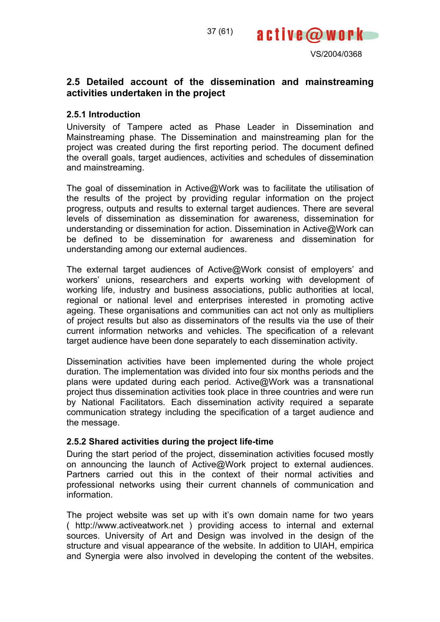



## **2.5 Detailed account of the dissemination and mainstreaming activities undertaken in the project**

## **2.5.1 Introduction**

University of Tampere acted as Phase Leader in Dissemination and Mainstreaming phase. The Dissemination and mainstreaming plan for the project was created during the first reporting period. The document defined the overall goals, target audiences, activities and schedules of dissemination and mainstreaming.

The goal of dissemination in Active@Work was to facilitate the utilisation of the results of the project by providing regular information on the project progress, outputs and results to external target audiences. There are several levels of dissemination as dissemination for awareness, dissemination for understanding or dissemination for action. Dissemination in Active@Work can be defined to be dissemination for awareness and dissemination for understanding among our external audiences.

The external target audiences of Active@Work consist of employers' and workers' unions, researchers and experts working with development of working life, industry and business associations, public authorities at local, regional or national level and enterprises interested in promoting active ageing. These organisations and communities can act not only as multipliers of project results but also as disseminators of the results via the use of their current information networks and vehicles. The specification of a relevant target audience have been done separately to each dissemination activity.

Dissemination activities have been implemented during the whole project duration. The implementation was divided into four six months periods and the plans were updated during each period. Active@Work was a transnational project thus dissemination activities took place in three countries and were run by National Facilitators. Each dissemination activity required a separate communication strategy including the specification of a target audience and the message.

## **2.5.2 Shared activities during the project life-time**

During the start period of the project, dissemination activities focused mostly on announcing the launch of Active@Work project to external audiences. Partners carried out this in the context of their normal activities and professional networks using their current channels of communication and information.

The project website was set up with it's own domain name for two years ( http://www.activeatwork.net ) providing access to internal and external sources. University of Art and Design was involved in the design of the structure and visual appearance of the website. In addition to UIAH, empirica and Synergia were also involved in developing the content of the websites.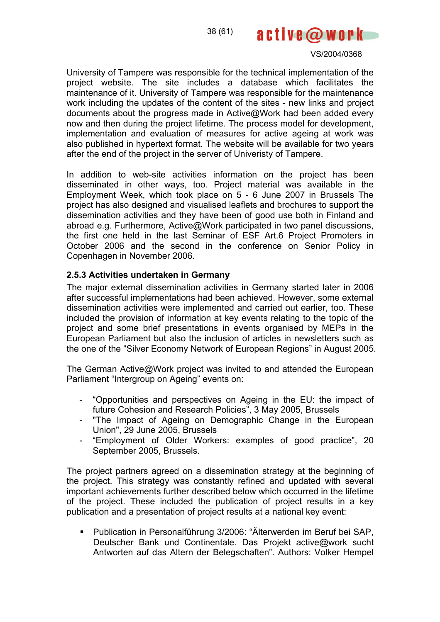

University of Tampere was responsible for the technical implementation of the project website. The site includes a database which facilitates the maintenance of it. University of Tampere was responsible for the maintenance work including the updates of the content of the sites - new links and project documents about the progress made in Active@Work had been added every now and then during the project lifetime. The process model for development, implementation and evaluation of measures for active ageing at work was also published in hypertext format. The website will be available for two years after the end of the project in the server of Univeristy of Tampere.

In addition to web-site activities information on the project has been disseminated in other ways, too. Project material was available in the Employment Week, which took place on 5 - 6 June 2007 in Brussels The project has also designed and visualised leaflets and brochures to support the dissemination activities and they have been of good use both in Finland and abroad e.g. Furthermore, Active@Work participated in two panel discussions, the first one held in the last Seminar of ESF Art.6 Project Promoters in October 2006 and the second in the conference on Senior Policy in Copenhagen in November 2006.

## **2.5.3 Activities undertaken in Germany**

The major external dissemination activities in Germany started later in 2006 after successful implementations had been achieved. However, some external dissemination activities were implemented and carried out earlier, too. These included the provision of information at key events relating to the topic of the project and some brief presentations in events organised by MEPs in the European Parliament but also the inclusion of articles in newsletters such as the one of the "Silver Economy Network of European Regions" in August 2005.

The German Active@Work project was invited to and attended the European Parliament "Intergroup on Ageing" events on:

- "Opportunities and perspectives on Ageing in the EU: the impact of future Cohesion and Research Policies", 3 May 2005, Brussels
- "The Impact of Ageing on Demographic Change in the European Union", 29 June 2005, Brussels
- "Employment of Older Workers: examples of good practice", 20 September 2005, Brussels.

The project partners agreed on a dissemination strategy at the beginning of the project. This strategy was constantly refined and updated with several important achievements further described below which occurred in the lifetime of the project. These included the publication of project results in a key publication and a presentation of project results at a national key event:

 Publication in Personalführung 3/2006: "Älterwerden im Beruf bei SAP, Deutscher Bank und Continentale. Das Projekt active@work sucht Antworten auf das Altern der Belegschaften". Authors: Volker Hempel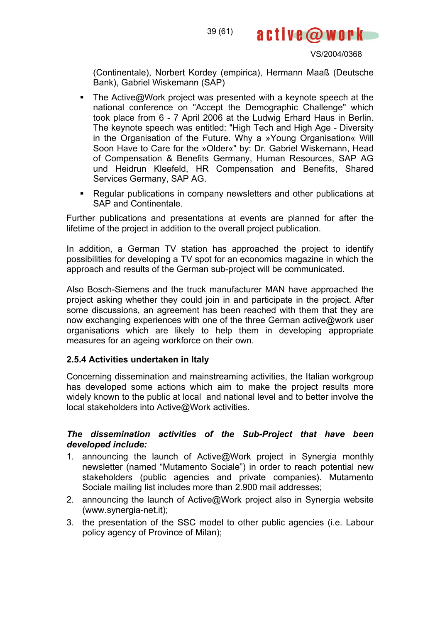

(Continentale), Norbert Kordey (empirica), Hermann Maaß (Deutsche Bank), Gabriel Wiskemann (SAP)

- The Active@Work project was presented with a keynote speech at the national conference on "Accept the Demographic Challenge" which took place from 6 - 7 April 2006 at the Ludwig Erhard Haus in Berlin. The keynote speech was entitled: "High Tech and High Age - Diversity in the Organisation of the Future. Why a »Young Organisation« Will Soon Have to Care for the »Older«" by: Dr. Gabriel Wiskemann, Head of Compensation & Benefits Germany, Human Resources, SAP AG und Heidrun Kleefeld, HR Compensation and Benefits, Shared Services Germany, SAP AG.
- **Regular publications in company newsletters and other publications at** SAP and Continentale.

Further publications and presentations at events are planned for after the lifetime of the project in addition to the overall project publication.

In addition, a German TV station has approached the project to identify possibilities for developing a TV spot for an economics magazine in which the approach and results of the German sub-project will be communicated.

Also Bosch-Siemens and the truck manufacturer MAN have approached the project asking whether they could join in and participate in the project. After some discussions, an agreement has been reached with them that they are now exchanging experiences with one of the three German active@work user organisations which are likely to help them in developing appropriate measures for an ageing workforce on their own.

## **2.5.4 Activities undertaken in Italy**

Concerning dissemination and mainstreaming activities, the Italian workgroup has developed some actions which aim to make the project results more widely known to the public at local and national level and to better involve the local stakeholders into Active@Work activities.

## *The dissemination activities of the Sub-Project that have been developed include:*

- 1. announcing the launch of Active@Work project in Synergia monthly newsletter (named "Mutamento Sociale") in order to reach potential new stakeholders (public agencies and private companies). Mutamento Sociale mailing list includes more than 2.900 mail addresses;
- 2. announcing the launch of Active@Work project also in Synergia website (www.synergia-net.it);
- 3. the presentation of the SSC model to other public agencies (i.e. Labour policy agency of Province of Milan);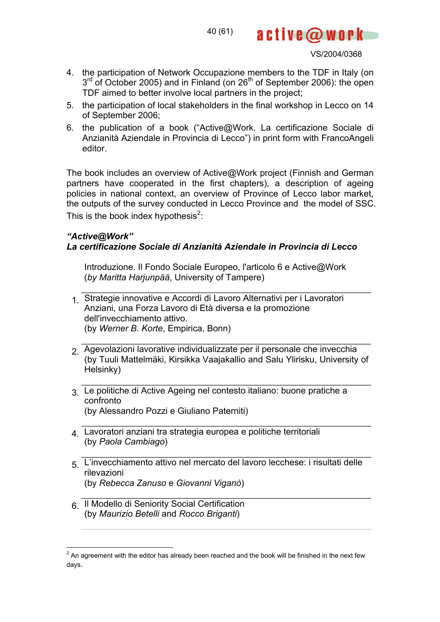40 (61)

VS/2004/0368

active@work

- 4. the participation of Network Occupazione members to the TDF in Italy (on  $3<sup>rd</sup>$  of October 2005) and in Finland (on  $26<sup>th</sup>$  of September 2006): the open TDF aimed to better involve local partners in the project;
- 5. the participation of local stakeholders in the final workshop in Lecco on 14 of September 2006;
- 6. the publication of a book ("Active@Work. La certificazione Sociale di Anzianità Aziendale in Provincia di Lecco") in print form with FrancoAngeli editor.

The book includes an overview of Active@Work project (Finnish and German partners have cooperated in the first chapters), a description of ageing policies in national context, an overview of Province of Lecco labor market, the outputs of the survey conducted in Lecco Province and the model of SSC. This is the book index hypothesis $2$ :

## *"Active@Work" La certificazione Sociale di Anzianità Aziendale in Provincia di Lecco*

Introduzione. Il Fondo Sociale Europeo, l'articolo 6 e Active@Work (*by Maritta Harjunpää*, University of Tampere)

- 1. Strategie innovative e Accordi di Lavoro Alternativi per i Lavoratori Anziani, una Forza Lavoro di Età diversa e la promozione dell'invecchiamento attivo. (by *Werner B. Korte*, Empirica, Bonn)
- 2. Agevolazioni lavorative individualizzate per il personale che invecchia (by Tuuli Mattelmäki, Kirsikka Vaajakallio and Salu Ylirisku, University of Helsinky)
- 3. Le politiche di Active Ageing nel contesto italiano: buone pratiche a confronto (by Alessandro Pozzi e Giuliano Paterniti)
- 4. Lavoratori anziani tra strategia europea e politiche territoriali (by *Paola Cambiago*)

- 5. L'invecchiamento attivo nel mercato del lavoro lecchese: i risultati delle rilevazioni (by *Rebecca Zanuso* e *Giovanni Viganò*)
- 6. Il Modello di Seniority Social Certification (by *Maurizio Betelli* and *Rocco Briganti*)

 $\frac{2}{1}$ An agreement with the editor has already been reached and the book will be finished in the next few days.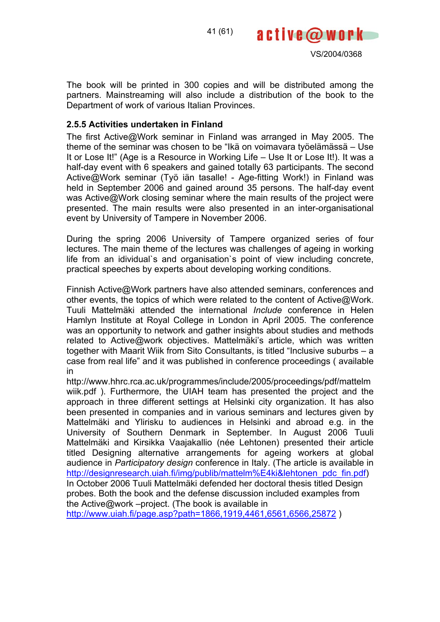



The book will be printed in 300 copies and will be distributed among the partners. Mainstreaming will also include a distribution of the book to the Department of work of various Italian Provinces.

## **2.5.5 Activities undertaken in Finland**

The first Active@Work seminar in Finland was arranged in May 2005. The theme of the seminar was chosen to be "Ikä on voimavara työelämässä – Use It or Lose It!" (Age is a Resource in Working Life – Use It or Lose It!). It was a half-day event with 6 speakers and gained totally 63 participants. The second Active@Work seminar (Työ iän tasalle! - Age-fitting Work!) in Finland was held in September 2006 and gained around 35 persons. The half-day event was Active@Work closing seminar where the main results of the project were presented. The main results were also presented in an inter-organisational event by University of Tampere in November 2006.

During the spring 2006 University of Tampere organized series of four lectures. The main theme of the lectures was challenges of ageing in working life from an idividual`s and organisation`s point of view including concrete, practical speeches by experts about developing working conditions.

Finnish Active@Work partners have also attended seminars, conferences and other events, the topics of which were related to the content of Active@Work. Tuuli Mattelmäki attended the international *Include* conference in Helen Hamlyn Institute at Royal College in London in April 2005. The conference was an opportunity to network and gather insights about studies and methods related to Active@work objectives. Mattelmäki's article, which was written together with Maarit Wiik from Sito Consultants, is titled "Inclusive suburbs – a case from real life" and it was published in conference proceedings ( available in

http://www.hhrc.rca.ac.uk/programmes/include/2005/proceedings/pdf/mattelm wiik.pdf ). Furthermore, the UIAH team has presented the project and the approach in three different settings at Helsinki city organization. It has also been presented in companies and in various seminars and lectures given by Mattelmäki and Ylirisku to audiences in Helsinki and abroad e.g. in the University of Southern Denmark in September. In August 2006 Tuuli Mattelmäki and Kirsikka Vaajakallio (née Lehtonen) presented their article titled Designing alternative arrangements for ageing workers at global audience in *Participatory design* conference in Italy. (The article is available in http://designresearch.uiah.fi/img/publib/mattelm%E4ki&lehtonen\_pdc\_fin.pdf) In October 2006 Tuuli Mattelmäki defended her doctoral thesis titled Design probes. Both the book and the defense discussion included examples from the Active@work –project. (The book is available in

http://www.uiah.fi/page.asp?path=1866,1919,4461,6561,6566,25872 )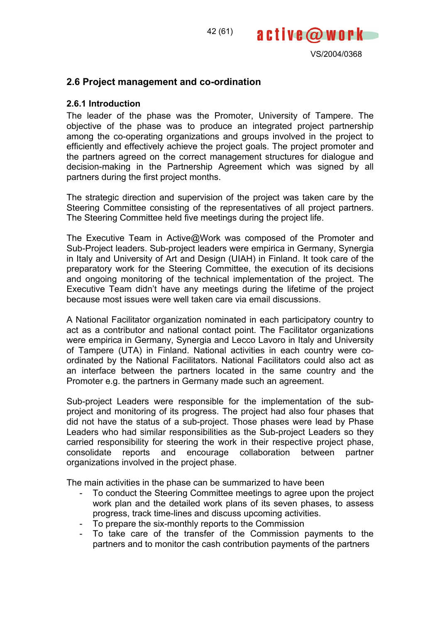



## **2.6 Project management and co-ordination**

#### **2.6.1 Introduction**

The leader of the phase was the Promoter, University of Tampere. The objective of the phase was to produce an integrated project partnership among the co-operating organizations and groups involved in the project to efficiently and effectively achieve the project goals. The project promoter and the partners agreed on the correct management structures for dialogue and decision-making in the Partnership Agreement which was signed by all partners during the first project months.

The strategic direction and supervision of the project was taken care by the Steering Committee consisting of the representatives of all project partners. The Steering Committee held five meetings during the project life.

The Executive Team in Active@Work was composed of the Promoter and Sub-Project leaders. Sub-project leaders were empirica in Germany, Synergia in Italy and University of Art and Design (UIAH) in Finland. It took care of the preparatory work for the Steering Committee, the execution of its decisions and ongoing monitoring of the technical implementation of the project. The Executive Team didn't have any meetings during the lifetime of the project because most issues were well taken care via email discussions.

A National Facilitator organization nominated in each participatory country to act as a contributor and national contact point. The Facilitator organizations were empirica in Germany, Synergia and Lecco Lavoro in Italy and University of Tampere (UTA) in Finland. National activities in each country were coordinated by the National Facilitators. National Facilitators could also act as an interface between the partners located in the same country and the Promoter e.g. the partners in Germany made such an agreement.

Sub-project Leaders were responsible for the implementation of the subproject and monitoring of its progress. The project had also four phases that did not have the status of a sub-project. Those phases were lead by Phase Leaders who had similar responsibilities as the Sub-project Leaders so they carried responsibility for steering the work in their respective project phase, consolidate reports and encourage collaboration between partner organizations involved in the project phase.

The main activities in the phase can be summarized to have been

- To conduct the Steering Committee meetings to agree upon the project work plan and the detailed work plans of its seven phases, to assess progress, track time-lines and discuss upcoming activities.
- To prepare the six-monthly reports to the Commission<br>- To take care of the transfer of the Commission r
- To take care of the transfer of the Commission payments to the partners and to monitor the cash contribution payments of the partners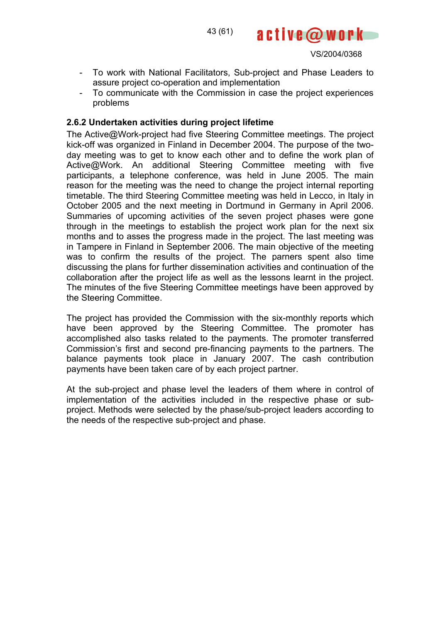

- To work with National Facilitators, Sub-project and Phase Leaders to assure project co-operation and implementation
- To communicate with the Commission in case the project experiences problems

## **2.6.2 Undertaken activities during project lifetime**

The Active@Work-project had five Steering Committee meetings. The project kick-off was organized in Finland in December 2004. The purpose of the twoday meeting was to get to know each other and to define the work plan of Active@Work. An additional Steering Committee meeting with five participants, a telephone conference, was held in June 2005. The main reason for the meeting was the need to change the project internal reporting timetable. The third Steering Committee meeting was held in Lecco, in Italy in October 2005 and the next meeting in Dortmund in Germany in April 2006. Summaries of upcoming activities of the seven project phases were gone through in the meetings to establish the project work plan for the next six months and to asses the progress made in the project. The last meeting was in Tampere in Finland in September 2006. The main objective of the meeting was to confirm the results of the project. The parners spent also time discussing the plans for further dissemination activities and continuation of the collaboration after the project life as well as the lessons learnt in the project. The minutes of the five Steering Committee meetings have been approved by the Steering Committee.

The project has provided the Commission with the six-monthly reports which have been approved by the Steering Committee. The promoter has accomplished also tasks related to the payments. The promoter transferred Commission's first and second pre-financing payments to the partners. The balance payments took place in January 2007. The cash contribution payments have been taken care of by each project partner.

At the sub-project and phase level the leaders of them where in control of implementation of the activities included in the respective phase or subproject. Methods were selected by the phase/sub-project leaders according to the needs of the respective sub-project and phase.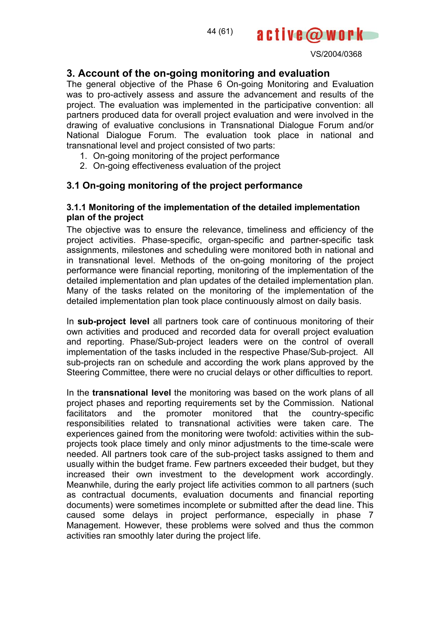



## **3. Account of the on-going monitoring and evaluation**

The general objective of the Phase 6 On-going Monitoring and Evaluation was to pro-actively assess and assure the advancement and results of the project. The evaluation was implemented in the participative convention: all partners produced data for overall project evaluation and were involved in the drawing of evaluative conclusions in Transnational Dialogue Forum and/or National Dialogue Forum. The evaluation took place in national and transnational level and project consisted of two parts:

- 1. On-going monitoring of the project performance
- 2. On-going effectiveness evaluation of the project

## **3.1 On-going monitoring of the project performance**

#### **3.1.1 Monitoring of the implementation of the detailed implementation plan of the project**

The objective was to ensure the relevance, timeliness and efficiency of the project activities. Phase-specific, organ-specific and partner-specific task assignments, milestones and scheduling were monitored both in national and in transnational level. Methods of the on-going monitoring of the project performance were financial reporting, monitoring of the implementation of the detailed implementation and plan updates of the detailed implementation plan. Many of the tasks related on the monitoring of the implementation of the detailed implementation plan took place continuously almost on daily basis.

In **sub-project level** all partners took care of continuous monitoring of their own activities and produced and recorded data for overall project evaluation and reporting. Phase/Sub-project leaders were on the control of overall implementation of the tasks included in the respective Phase/Sub-project. All sub-projects ran on schedule and according the work plans approved by the Steering Committee, there were no crucial delays or other difficulties to report.

In the **transnational level** the monitoring was based on the work plans of all project phases and reporting requirements set by the Commission. National facilitators and the promoter monitored that the country-specific responsibilities related to transnational activities were taken care. The experiences gained from the monitoring were twofold: activities within the subprojects took place timely and only minor adjustments to the time-scale were needed. All partners took care of the sub-project tasks assigned to them and usually within the budget frame. Few partners exceeded their budget, but they increased their own investment to the development work accordingly. Meanwhile, during the early project life activities common to all partners (such as contractual documents, evaluation documents and financial reporting documents) were sometimes incomplete or submitted after the dead line. This caused some delays in project performance, especially in phase 7 Management. However, these problems were solved and thus the common activities ran smoothly later during the project life.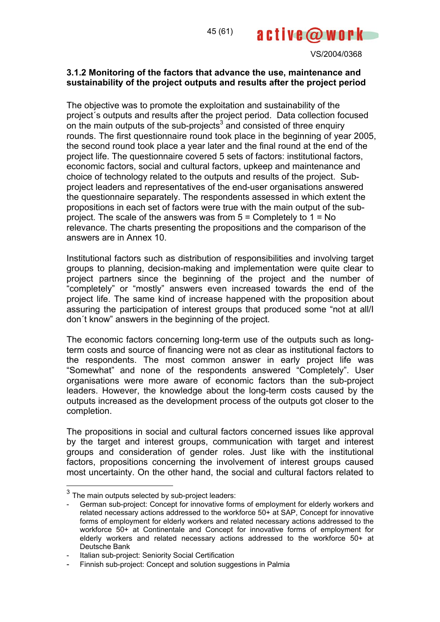## **3.1.2 Monitoring of the factors that advance the use, maintenance and sustainability of the project outputs and results after the project period**

The objective was to promote the exploitation and sustainability of the project´s outputs and results after the project period. Data collection focused on the main outputs of the sub-projects<sup>3</sup> and consisted of three enquiry rounds. The first questionnaire round took place in the beginning of year 2005, the second round took place a year later and the final round at the end of the project life. The questionnaire covered 5 sets of factors: institutional factors, economic factors, social and cultural factors, upkeep and maintenance and choice of technology related to the outputs and results of the project. Subproject leaders and representatives of the end-user organisations answered the questionnaire separately. The respondents assessed in which extent the propositions in each set of factors were true with the main output of the subproject. The scale of the answers was from 5 = Completely to 1 = No relevance. The charts presenting the propositions and the comparison of the answers are in Annex 10.

Institutional factors such as distribution of responsibilities and involving target groups to planning, decision-making and implementation were quite clear to project partners since the beginning of the project and the number of "completely" or "mostly" answers even increased towards the end of the project life. The same kind of increase happened with the proposition about assuring the participation of interest groups that produced some "not at all/I don´t know" answers in the beginning of the project.

The economic factors concerning long-term use of the outputs such as longterm costs and source of financing were not as clear as institutional factors to the respondents. The most common answer in early project life was "Somewhat" and none of the respondents answered "Completely". User organisations were more aware of economic factors than the sub-project leaders. However, the knowledge about the long-term costs caused by the outputs increased as the development process of the outputs got closer to the completion.

The propositions in social and cultural factors concerned issues like approval by the target and interest groups, communication with target and interest groups and consideration of gender roles. Just like with the institutional factors, propositions concerning the involvement of interest groups caused most uncertainty. On the other hand, the social and cultural factors related to

 $\overline{a}$ 

 $3$  The main outputs selected by sub-project leaders:

German sub-project: Concept for innovative forms of employment for elderly workers and related necessary actions addressed to the workforce 50+ at SAP, Concept for innovative forms of employment for elderly workers and related necessary actions addressed to the workforce 50+ at Continentale and Concept for innovative forms of employment for elderly workers and related necessary actions addressed to the workforce 50+ at Deutsche Bank

Italian sub-project: Seniority Social Certification

<sup>-</sup> Finnish sub-project: Concept and solution suggestions in Palmia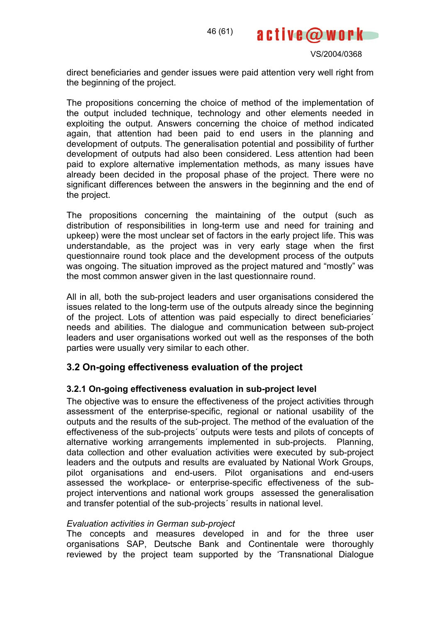

direct beneficiaries and gender issues were paid attention very well right from the beginning of the project.

The propositions concerning the choice of method of the implementation of the output included technique, technology and other elements needed in exploiting the output. Answers concerning the choice of method indicated again, that attention had been paid to end users in the planning and development of outputs. The generalisation potential and possibility of further development of outputs had also been considered. Less attention had been paid to explore alternative implementation methods, as many issues have already been decided in the proposal phase of the project. There were no significant differences between the answers in the beginning and the end of the project.

The propositions concerning the maintaining of the output (such as distribution of responsibilities in long-term use and need for training and upkeep) were the most unclear set of factors in the early project life. This was understandable, as the project was in very early stage when the first questionnaire round took place and the development process of the outputs was ongoing. The situation improved as the project matured and "mostly" was the most common answer given in the last questionnaire round.

All in all, both the sub-project leaders and user organisations considered the issues related to the long-term use of the outputs already since the beginning of the project. Lots of attention was paid especially to direct beneficiaries´ needs and abilities. The dialogue and communication between sub-project leaders and user organisations worked out well as the responses of the both parties were usually very similar to each other.

## **3.2 On-going effectiveness evaluation of the project**

## **3.2.1 On-going effectiveness evaluation in sub-project level**

The objective was to ensure the effectiveness of the project activities through assessment of the enterprise-specific, regional or national usability of the outputs and the results of the sub-project. The method of the evaluation of the effectiveness of the sub-projects´ outputs were tests and pilots of concepts of alternative working arrangements implemented in sub-projects. Planning, data collection and other evaluation activities were executed by sub-project leaders and the outputs and results are evaluated by National Work Groups, pilot organisations and end-users. Pilot organisations and end-users assessed the workplace- or enterprise-specific effectiveness of the subproject interventions and national work groups assessed the generalisation and transfer potential of the sub-projects´ results in national level.

#### *Evaluation activities in German sub-project*

The concepts and measures developed in and for the three user organisations SAP, Deutsche Bank and Continentale were thoroughly reviewed by the project team supported by the 'Transnational Dialogue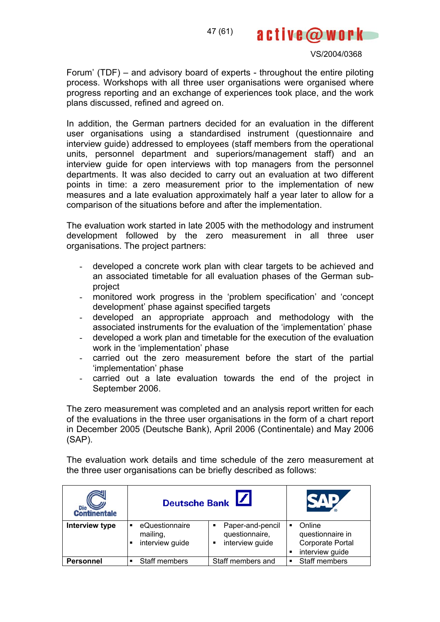

Forum' (TDF) – and advisory board of experts - throughout the entire piloting process. Workshops with all three user organisations were organised where progress reporting and an exchange of experiences took place, and the work plans discussed, refined and agreed on.

In addition, the German partners decided for an evaluation in the different user organisations using a standardised instrument (questionnaire and interview guide) addressed to employees (staff members from the operational units, personnel department and superiors/management staff) and an interview guide for open interviews with top managers from the personnel departments. It was also decided to carry out an evaluation at two different points in time: a zero measurement prior to the implementation of new measures and a late evaluation approximately half a year later to allow for a comparison of the situations before and after the implementation.

The evaluation work started in late 2005 with the methodology and instrument development followed by the zero measurement in all three user organisations. The project partners:

- developed a concrete work plan with clear targets to be achieved and an associated timetable for all evaluation phases of the German subproject
- monitored work progress in the 'problem specification' and 'concept development' phase against specified targets
- developed an appropriate approach and methodology with the associated instruments for the evaluation of the 'implementation' phase
- developed a work plan and timetable for the execution of the evaluation work in the 'implementation' phase
- carried out the zero measurement before the start of the partial 'implementation' phase
- carried out a late evaluation towards the end of the project in September 2006.

The zero measurement was completed and an analysis report written for each of the evaluations in the three user organisations in the form of a chart report in December 2005 (Deutsche Bank), April 2006 (Continentale) and May 2006 (SAP).

The evaluation work details and time schedule of the zero measurement at the three user organisations can be briefly described as follows:

| Die Continentale | Deutsche Bank                                      |                                                            |                                                                        |
|------------------|----------------------------------------------------|------------------------------------------------------------|------------------------------------------------------------------------|
| Interview type   | eQuestionnaire<br>п<br>mailing,<br>interview guide | Paper-and-pencil<br>٠<br>questionnaire,<br>interview guide | Online<br>п<br>questionnaire in<br>Corporate Portal<br>interview guide |
| <b>Personnel</b> | Staff members                                      | Staff members and                                          | Staff members<br>٠                                                     |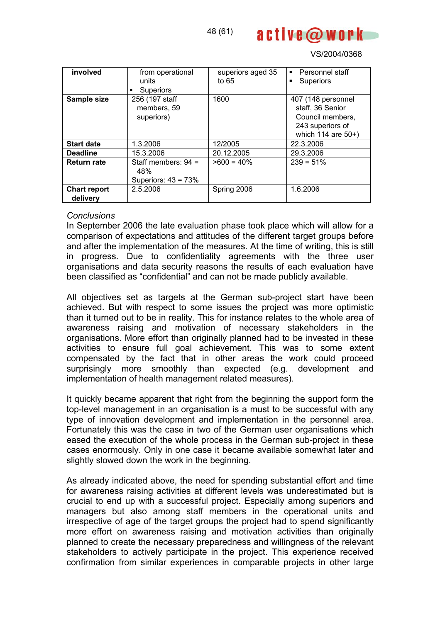

| involved                        | from operational<br>units<br>Superiors                | superiors aged 35<br>to $65$ | • Personnel staff<br>Superiors<br>٠                                                                  |
|---------------------------------|-------------------------------------------------------|------------------------------|------------------------------------------------------------------------------------------------------|
| Sample size                     | 256 (197 staff<br>members, 59<br>superiors)           | 1600                         | 407 (148 personnel<br>staff, 36 Senior<br>Council members,<br>243 superiors of<br>which 114 are 50+) |
| <b>Start date</b>               | 1.3.2006                                              | 12/2005                      | 22.3.2006                                                                                            |
| <b>Deadline</b>                 | 15.3.2006                                             | 20.12.2005                   | 29.3.2006                                                                                            |
| <b>Return rate</b>              | Staff members: $94 =$<br>48%<br>Superiors: $43 = 73%$ | $>600 = 40\%$                | $239 = 51\%$                                                                                         |
| <b>Chart report</b><br>delivery | 2.5.2006                                              | Spring 2006                  | 1.6.2006                                                                                             |

#### *Conclusions*

In September 2006 the late evaluation phase took place which will allow for a comparison of expectations and attitudes of the different target groups before and after the implementation of the measures. At the time of writing, this is still in progress. Due to confidentiality agreements with the three user organisations and data security reasons the results of each evaluation have been classified as "confidential" and can not be made publicly available.

All objectives set as targets at the German sub-project start have been achieved. But with respect to some issues the project was more optimistic than it turned out to be in reality. This for instance relates to the whole area of awareness raising and motivation of necessary stakeholders in the organisations. More effort than originally planned had to be invested in these activities to ensure full goal achievement. This was to some extent compensated by the fact that in other areas the work could proceed surprisingly more smoothly than expected (e.g. development and implementation of health management related measures).

It quickly became apparent that right from the beginning the support form the top-level management in an organisation is a must to be successful with any type of innovation development and implementation in the personnel area. Fortunately this was the case in two of the German user organisations which eased the execution of the whole process in the German sub-project in these cases enormously. Only in one case it became available somewhat later and slightly slowed down the work in the beginning.

As already indicated above, the need for spending substantial effort and time for awareness raising activities at different levels was underestimated but is crucial to end up with a successful project. Especially among superiors and managers but also among staff members in the operational units and irrespective of age of the target groups the project had to spend significantly more effort on awareness raising and motivation activities than originally planned to create the necessary preparedness and willingness of the relevant stakeholders to actively participate in the project. This experience received confirmation from similar experiences in comparable projects in other large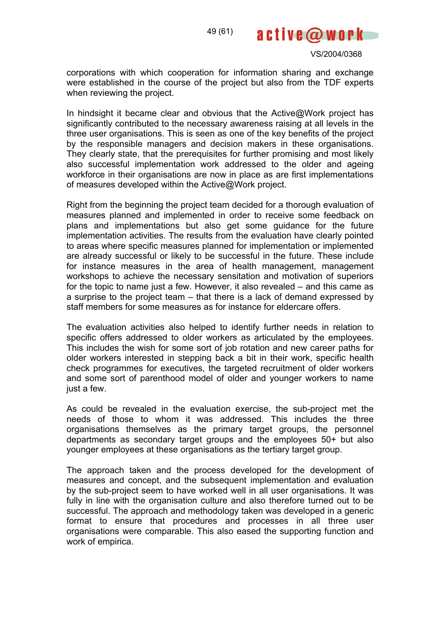

corporations with which cooperation for information sharing and exchange were established in the course of the project but also from the TDF experts when reviewing the project.

In hindsight it became clear and obvious that the Active@Work project has significantly contributed to the necessary awareness raising at all levels in the three user organisations. This is seen as one of the key benefits of the project by the responsible managers and decision makers in these organisations. They clearly state, that the prerequisites for further promising and most likely also successful implementation work addressed to the older and ageing workforce in their organisations are now in place as are first implementations of measures developed within the Active@Work project.

Right from the beginning the project team decided for a thorough evaluation of measures planned and implemented in order to receive some feedback on plans and implementations but also get some guidance for the future implementation activities. The results from the evaluation have clearly pointed to areas where specific measures planned for implementation or implemented are already successful or likely to be successful in the future. These include for instance measures in the area of health management, management workshops to achieve the necessary sensitation and motivation of superiors for the topic to name just a few. However, it also revealed – and this came as a surprise to the project team – that there is a lack of demand expressed by staff members for some measures as for instance for eldercare offers.

The evaluation activities also helped to identify further needs in relation to specific offers addressed to older workers as articulated by the employees. This includes the wish for some sort of job rotation and new career paths for older workers interested in stepping back a bit in their work, specific health check programmes for executives, the targeted recruitment of older workers and some sort of parenthood model of older and younger workers to name just a few.

As could be revealed in the evaluation exercise, the sub-project met the needs of those to whom it was addressed. This includes the three organisations themselves as the primary target groups, the personnel departments as secondary target groups and the employees 50+ but also younger employees at these organisations as the tertiary target group.

The approach taken and the process developed for the development of measures and concept, and the subsequent implementation and evaluation by the sub-project seem to have worked well in all user organisations. It was fully in line with the organisation culture and also therefore turned out to be successful. The approach and methodology taken was developed in a generic format to ensure that procedures and processes in all three user organisations were comparable. This also eased the supporting function and work of empirica.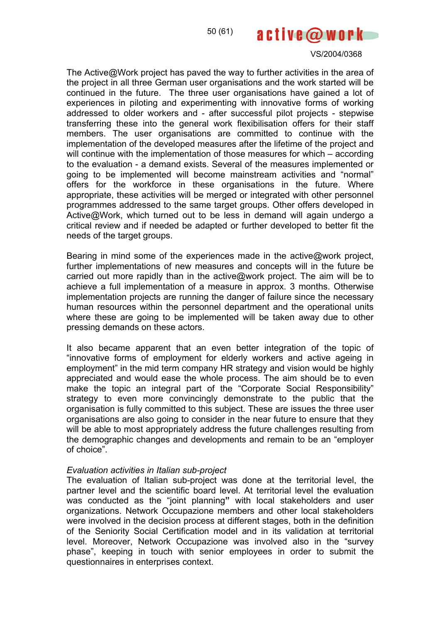#### VS/2004/0368

The Active@Work project has paved the way to further activities in the area of the project in all three German user organisations and the work started will be continued in the future. The three user organisations have gained a lot of experiences in piloting and experimenting with innovative forms of working addressed to older workers and - after successful pilot projects - stepwise transferring these into the general work flexibilisation offers for their staff members. The user organisations are committed to continue with the implementation of the developed measures after the lifetime of the project and will continue with the implementation of those measures for which – according to the evaluation - a demand exists. Several of the measures implemented or going to be implemented will become mainstream activities and "normal" offers for the workforce in these organisations in the future. Where appropriate, these activities will be merged or integrated with other personnel programmes addressed to the same target groups. Other offers developed in Active@Work, which turned out to be less in demand will again undergo a critical review and if needed be adapted or further developed to better fit the needs of the target groups.

Bearing in mind some of the experiences made in the active@work project, further implementations of new measures and concepts will in the future be carried out more rapidly than in the active@work project. The aim will be to achieve a full implementation of a measure in approx. 3 months. Otherwise implementation projects are running the danger of failure since the necessary human resources within the personnel department and the operational units where these are going to be implemented will be taken away due to other pressing demands on these actors.

It also became apparent that an even better integration of the topic of "innovative forms of employment for elderly workers and active ageing in employment" in the mid term company HR strategy and vision would be highly appreciated and would ease the whole process. The aim should be to even make the topic an integral part of the "Corporate Social Responsibility" strategy to even more convincingly demonstrate to the public that the organisation is fully committed to this subject. These are issues the three user organisations are also going to consider in the near future to ensure that they will be able to most appropriately address the future challenges resulting from the demographic changes and developments and remain to be an "employer of choice".

#### *Evaluation activities in Italian sub-project*

The evaluation of Italian sub-project was done at the territorial level, the partner level and the scientific board level. At territorial level the evaluation was conducted as the "joint planning**"** with local stakeholders and user organizations. Network Occupazione members and other local stakeholders were involved in the decision process at different stages, both in the definition of the Seniority Social Certification model and in its validation at territorial level. Moreover, Network Occupazione was involved also in the "survey phase", keeping in touch with senior employees in order to submit the questionnaires in enterprises context.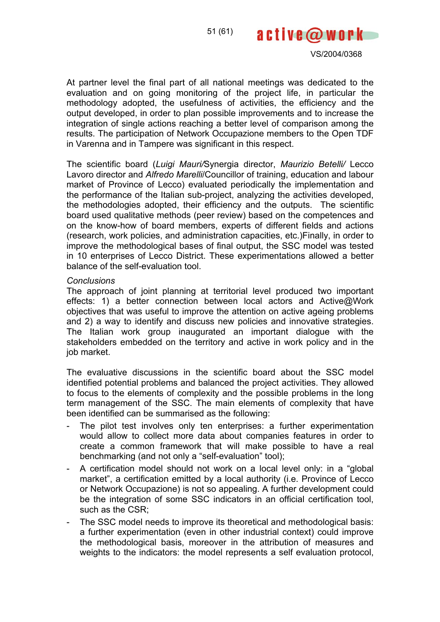



At partner level the final part of all national meetings was dedicated to the evaluation and on going monitoring of the project life, in particular the methodology adopted, the usefulness of activities, the efficiency and the output developed, in order to plan possible improvements and to increase the integration of single actions reaching a better level of comparison among the results. The participation of Network Occupazione members to the Open TDF in Varenna and in Tampere was significant in this respect.

The scientific board (*Luigi Mauri/*Synergia director, *Maurizio Betelli/* Lecco Lavoro director and *Alfredo Marelli*/Councillor of training, education and labour market of Province of Lecco) evaluated periodically the implementation and the performance of the Italian sub-project, analyzing the activities developed, the methodologies adopted, their efficiency and the outputs. The scientific board used qualitative methods (peer review) based on the competences and on the know-how of board members, experts of different fields and actions (research, work policies, and administration capacities, etc.)Finally, in order to improve the methodological bases of final output, the SSC model was tested in 10 enterprises of Lecco District. These experimentations allowed a better balance of the self-evaluation tool.

#### *Conclusions*

The approach of joint planning at territorial level produced two important effects: 1) a better connection between local actors and Active@Work objectives that was useful to improve the attention on active ageing problems and 2) a way to identify and discuss new policies and innovative strategies. The Italian work group inaugurated an important dialogue with the stakeholders embedded on the territory and active in work policy and in the job market.

The evaluative discussions in the scientific board about the SSC model identified potential problems and balanced the project activities. They allowed to focus to the elements of complexity and the possible problems in the long term management of the SSC. The main elements of complexity that have been identified can be summarised as the following:

- The pilot test involves only ten enterprises: a further experimentation would allow to collect more data about companies features in order to create a common framework that will make possible to have a real benchmarking (and not only a "self-evaluation" tool);
- A certification model should not work on a local level only: in a "global market", a certification emitted by a local authority (i.e. Province of Lecco or Network Occupazione) is not so appealing. A further development could be the integration of some SSC indicators in an official certification tool, such as the CSR;
- The SSC model needs to improve its theoretical and methodological basis: a further experimentation (even in other industrial context) could improve the methodological basis, moreover in the attribution of measures and weights to the indicators: the model represents a self evaluation protocol,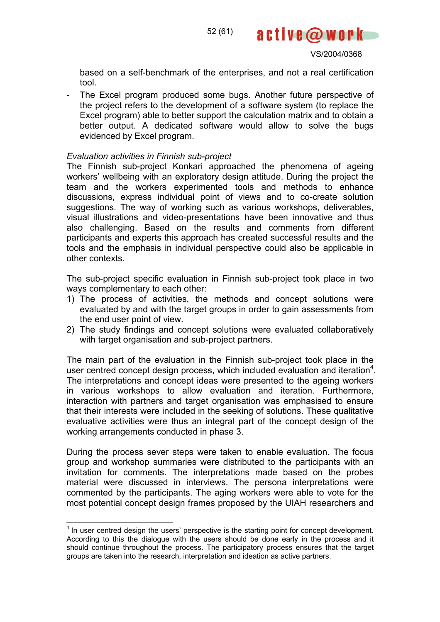

based on a self-benchmark of the enterprises, and not a real certification tool.

- The Excel program produced some bugs. Another future perspective of the project refers to the development of a software system (to replace the Excel program) able to better support the calculation matrix and to obtain a better output. A dedicated software would allow to solve the bugs evidenced by Excel program.

#### *Evaluation activities in Finnish sub-project*

The Finnish sub-project Konkari approached the phenomena of ageing workers' wellbeing with an exploratory design attitude. During the project the team and the workers experimented tools and methods to enhance discussions, express individual point of views and to co-create solution suggestions. The way of working such as various workshops, deliverables, visual illustrations and video-presentations have been innovative and thus also challenging. Based on the results and comments from different participants and experts this approach has created successful results and the tools and the emphasis in individual perspective could also be applicable in other contexts.

The sub-project specific evaluation in Finnish sub-project took place in two ways complementary to each other:

- 1) The process of activities, the methods and concept solutions were evaluated by and with the target groups in order to gain assessments from the end user point of view.
- 2) The study findings and concept solutions were evaluated collaboratively with target organisation and sub-project partners.

The main part of the evaluation in the Finnish sub-project took place in the user centred concept design process, which included evaluation and iteration<sup>4</sup>. The interpretations and concept ideas were presented to the ageing workers in various workshops to allow evaluation and iteration. Furthermore, interaction with partners and target organisation was emphasised to ensure that their interests were included in the seeking of solutions. These qualitative evaluative activities were thus an integral part of the concept design of the working arrangements conducted in phase 3.

During the process sever steps were taken to enable evaluation. The focus group and workshop summaries were distributed to the participants with an invitation for comments. The interpretations made based on the probes material were discussed in interviews. The persona interpretations were commented by the participants. The aging workers were able to vote for the most potential concept design frames proposed by the UIAH researchers and

The user centred design the users' perspective is the starting point for concept development. According to this the dialogue with the users should be done early in the process and it should continue throughout the process. The participatory process ensures that the target groups are taken into the research, interpretation and ideation as active partners.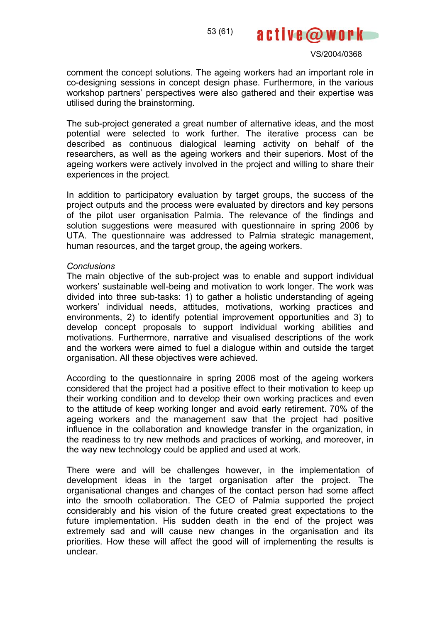

#### VS/2004/0368

comment the concept solutions. The ageing workers had an important role in co-designing sessions in concept design phase. Furthermore, in the various workshop partners' perspectives were also gathered and their expertise was utilised during the brainstorming.

The sub-project generated a great number of alternative ideas, and the most potential were selected to work further. The iterative process can be described as continuous dialogical learning activity on behalf of the researchers, as well as the ageing workers and their superiors. Most of the ageing workers were actively involved in the project and willing to share their experiences in the project.

In addition to participatory evaluation by target groups, the success of the project outputs and the process were evaluated by directors and key persons of the pilot user organisation Palmia. The relevance of the findings and solution suggestions were measured with questionnaire in spring 2006 by UTA. The questionnaire was addressed to Palmia strategic management, human resources, and the target group, the ageing workers.

#### *Conclusions*

The main objective of the sub-project was to enable and support individual workers' sustainable well-being and motivation to work longer. The work was divided into three sub-tasks: 1) to gather a holistic understanding of ageing workers' individual needs, attitudes, motivations, working practices and environments, 2) to identify potential improvement opportunities and 3) to develop concept proposals to support individual working abilities and motivations. Furthermore, narrative and visualised descriptions of the work and the workers were aimed to fuel a dialogue within and outside the target organisation. All these objectives were achieved.

According to the questionnaire in spring 2006 most of the ageing workers considered that the project had a positive effect to their motivation to keep up their working condition and to develop their own working practices and even to the attitude of keep working longer and avoid early retirement. 70% of the ageing workers and the management saw that the project had positive influence in the collaboration and knowledge transfer in the organization, in the readiness to try new methods and practices of working, and moreover, in the way new technology could be applied and used at work.

There were and will be challenges however, in the implementation of development ideas in the target organisation after the project. The organisational changes and changes of the contact person had some affect into the smooth collaboration. The CEO of Palmia supported the project considerably and his vision of the future created great expectations to the future implementation. His sudden death in the end of the project was extremely sad and will cause new changes in the organisation and its priorities. How these will affect the good will of implementing the results is unclear.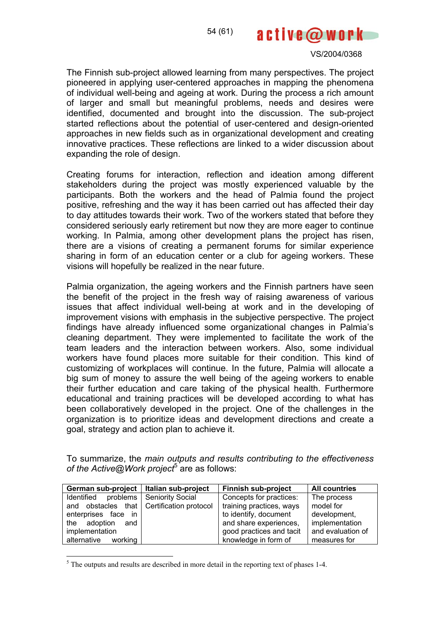

The Finnish sub-project allowed learning from many perspectives. The project pioneered in applying user-centered approaches in mapping the phenomena of individual well-being and ageing at work. During the process a rich amount of larger and small but meaningful problems, needs and desires were identified, documented and brought into the discussion. The sub-project started reflections about the potential of user-centered and design-oriented approaches in new fields such as in organizational development and creating innovative practices. These reflections are linked to a wider discussion about expanding the role of design.

Creating forums for interaction, reflection and ideation among different stakeholders during the project was mostly experienced valuable by the participants. Both the workers and the head of Palmia found the project positive, refreshing and the way it has been carried out has affected their day to day attitudes towards their work. Two of the workers stated that before they considered seriously early retirement but now they are more eager to continue working. In Palmia, among other development plans the project has risen, there are a visions of creating a permanent forums for similar experience sharing in form of an education center or a club for ageing workers. These visions will hopefully be realized in the near future.

Palmia organization, the ageing workers and the Finnish partners have seen the benefit of the project in the fresh way of raising awareness of various issues that affect individual well-being at work and in the developing of improvement visions with emphasis in the subjective perspective. The project findings have already influenced some organizational changes in Palmia's cleaning department. They were implemented to facilitate the work of the team leaders and the interaction between workers. Also, some individual workers have found places more suitable for their condition. This kind of customizing of workplaces will continue. In the future, Palmia will allocate a big sum of money to assure the well being of the ageing workers to enable their further education and care taking of the physical health. Furthermore educational and training practices will be developed according to what has been collaboratively developed in the project. One of the challenges in the organization is to prioritize ideas and development directions and create a goal, strategy and action plan to achieve it.

To summarize, the *main outputs and results contributing to the effectiveness*  of the Active@Work project<sup>5</sup> are as follows:

| German sub-project   Italian sub-project  | <b>Finnish sub-project</b> | <b>All countries</b> |
|-------------------------------------------|----------------------------|----------------------|
| Identified problems   Seniority Social    | Concepts for practices:    | The process          |
| and obstacles that Certification protocol | training practices, ways   | model for            |
| enterprises face in                       | to identify, document      | development,         |
| the adoption and                          | and share experiences,     | implementation       |
| implementation                            | good practices and tacit   | and evaluation of    |
| alternative working                       | knowledge in form of       | measures for         |

 $<sup>5</sup>$  The outputs and results are described in more detail in the reporting text of phases 1-4.</sup>

 $\overline{a}$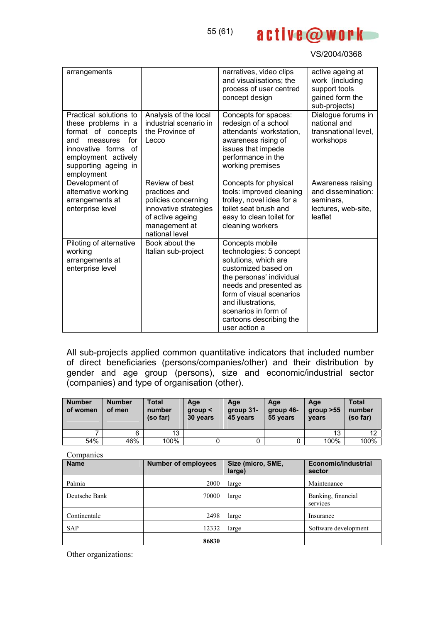

| arrangements                                                                                                                                                                      |                                                                                                                                        | narratives, video clips<br>and visualisations; the<br>process of user centred<br>concept design                                                                                                                                                                       | active ageing at<br>work (including<br>support tools<br>gained form the<br>sub-projects) |
|-----------------------------------------------------------------------------------------------------------------------------------------------------------------------------------|----------------------------------------------------------------------------------------------------------------------------------------|-----------------------------------------------------------------------------------------------------------------------------------------------------------------------------------------------------------------------------------------------------------------------|------------------------------------------------------------------------------------------|
| Practical solutions to<br>these problems in a<br>format of concepts<br>for<br>measures<br>and<br>innovative forms of<br>employment actively<br>supporting ageing in<br>employment | Analysis of the local<br>industrial scenario in<br>the Province of<br>Lecco                                                            | Concepts for spaces:<br>redesign of a school<br>attendants' workstation,<br>awareness rising of<br>issues that impede<br>performance in the<br>working premises                                                                                                       | Dialogue forums in<br>national and<br>transnational level.<br>workshops                  |
| Development of<br>alternative working<br>arrangements at<br>enterprise level                                                                                                      | Review of best<br>practices and<br>policies concerning<br>innovative strategies<br>of active ageing<br>management at<br>national level | Concepts for physical<br>tools: improved cleaning<br>trolley, novel idea for a<br>toilet seat brush and<br>easy to clean toilet for<br>cleaning workers                                                                                                               | Awareness raising<br>and dissemination:<br>seminars,<br>lectures, web-site,<br>leaflet   |
| Piloting of alternative<br>working<br>arrangements at<br>enterprise level                                                                                                         | Book about the<br>Italian sub-project                                                                                                  | Concepts mobile<br>technologies: 5 concept<br>solutions, which are<br>customized based on<br>the personas' individual<br>needs and presented as<br>form of visual scenarios<br>and illustrations,<br>scenarios in form of<br>cartoons describing the<br>user action a |                                                                                          |

All sub-projects applied common quantitative indicators that included number of direct beneficiaries (persons/companies/other) and their distribution by gender and age group (persons), size and economic/industrial sector (companies) and type of organisation (other).

| <b>Number</b><br>of women | <b>Number</b><br>of men | Total<br>number<br>(so far) | Age<br>qroup <<br>30 years | Age<br>group 31-<br>45 years | Age<br>group 46-<br>55 years | Age<br>group > 55<br>years | Total<br>number<br>(so far) |
|---------------------------|-------------------------|-----------------------------|----------------------------|------------------------------|------------------------------|----------------------------|-----------------------------|
|                           | 6                       | 13                          |                            |                              |                              | 13                         | 12                          |
| 54%                       | 46%                     | 100%                        |                            | 0                            |                              | 100%                       | 100%                        |
| $\sim$                    |                         |                             |                            |                              |                              |                            |                             |

| <b>Name</b>   | <b>Number of employees</b> | Size (micro, SME,<br>large) | Economic/industrial<br>sector  |
|---------------|----------------------------|-----------------------------|--------------------------------|
| Palmia        | 2000                       | large                       | Maintenance                    |
| Deutsche Bank | 70000                      | large                       | Banking, financial<br>services |
| Continentale  | 2498                       | large                       | Insurance                      |
| <b>SAP</b>    | 12332                      | large                       | Software development           |
|               | 86830                      |                             |                                |

Other organizations: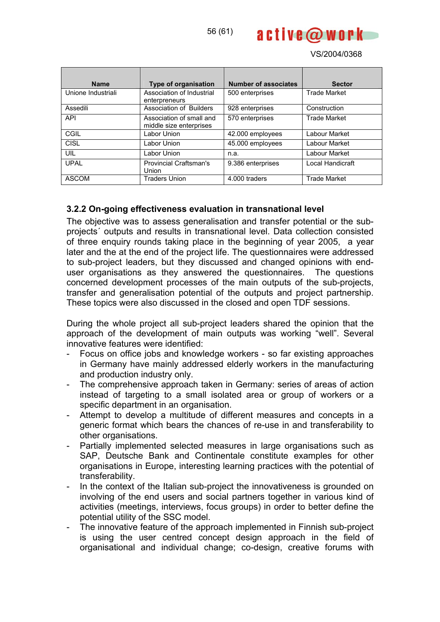

| <b>Name</b>        | <b>Type of organisation</b>                         | <b>Number of associates</b> | <b>Sector</b>       |
|--------------------|-----------------------------------------------------|-----------------------------|---------------------|
| Unione Industriali | Association of Industrial<br>enterpreneurs          | 500 enterprises             | <b>Trade Market</b> |
| Assedili           | Association of Builders                             | 928 enterprises             | Construction        |
| <b>API</b>         | Association of small and<br>middle size enterprises | 570 enterprises             | <b>Trade Market</b> |
| CGIL               | Labor Union                                         | 42.000 employees            | Labour Market       |
| CISL               | Labor Union                                         | 45.000 employees            | Labour Market       |
| UIL                | Labor Union                                         | n.a.                        | Labour Market       |
| <b>UPAL</b>        | <b>Provincial Craftsman's</b><br>Union              | 9.386 enterprises           | Local Handicraft    |
| <b>ASCOM</b>       | <b>Traders Union</b>                                | 4.000 traders               | <b>Trade Market</b> |

## **3.2.2 On-going effectiveness evaluation in transnational level**

The objective was to assess generalisation and transfer potential or the subprojects´ outputs and results in transnational level. Data collection consisted of three enquiry rounds taking place in the beginning of year 2005, a year later and the at the end of the project life. The questionnaires were addressed to sub-project leaders, but they discussed and changed opinions with enduser organisations as they answered the questionnaires. The questions concerned development processes of the main outputs of the sub-projects, transfer and generalisation potential of the outputs and project partnership. These topics were also discussed in the closed and open TDF sessions.

During the whole project all sub-project leaders shared the opinion that the approach of the development of main outputs was working "well". Several innovative features were identified:

- Focus on office jobs and knowledge workers so far existing approaches in Germany have mainly addressed elderly workers in the manufacturing and production industry only.
- The comprehensive approach taken in Germany: series of areas of action instead of targeting to a small isolated area or group of workers or a specific department in an organisation.
- Attempt to develop a multitude of different measures and concepts in a generic format which bears the chances of re-use in and transferability to other organisations.
- Partially implemented selected measures in large organisations such as SAP, Deutsche Bank and Continentale constitute examples for other organisations in Europe, interesting learning practices with the potential of transferability.
- In the context of the Italian sub-project the innovativeness is grounded on involving of the end users and social partners together in various kind of activities (meetings, interviews, focus groups) in order to better define the potential utility of the SSC model.
- The innovative feature of the approach implemented in Finnish sub-project is using the user centred concept design approach in the field of organisational and individual change; co-design, creative forums with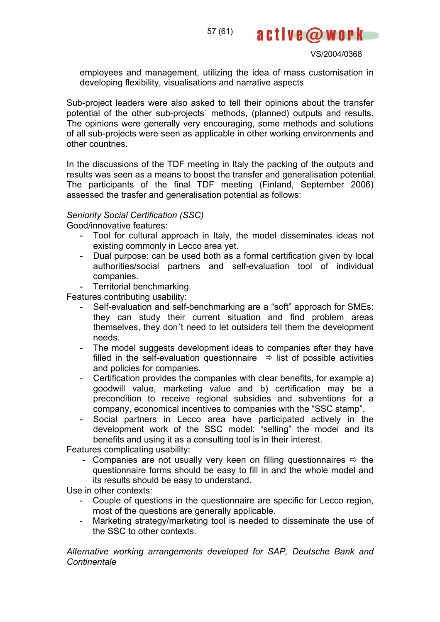57 (61)



VS/2004/0368

employees and management, utilizing the idea of mass customisation in developing flexibility, visualisations and narrative aspects

Sub-project leaders were also asked to tell their opinions about the transfer potential of the other sub-projects´ methods, (planned) outputs and results. The opinions were generally very encouraging, some methods and solutions of all sub-projects were seen as applicable in other working environments and other countries.

In the discussions of the TDF meeting in Italy the packing of the outputs and results was seen as a means to boost the transfer and generalisation potential. The participants of the final TDF meeting (Finland, September 2006) assessed the trasfer and generalisation potential as follows:

#### *Seniority Social Certification (SSC)*

Good/innovative features:

- Tool for cultural approach in Italy, the model disseminates ideas not existing commonly in Lecco area yet.
- Dual purpose: can be used both as a formal certification given by local authorities/social partners and self-evaluation tool of individual companies.
- Territorial benchmarking.

Features contributing usability:

- Self-evaluation and self-benchmarking are a "soft" approach for SMEs: they can study their current situation and find problem areas themselves, they don´t need to let outsiders tell them the development needs.
- The model suggests development ideas to companies after they have filled in the self-evaluation questionnaire  $\Rightarrow$  list of possible activities and policies for companies.
- Certification provides the companies with clear benefits, for example a) goodwill value, marketing value and b) certification may be a precondition to receive regional subsidies and subventions for a company, economical incentives to companies with the "SSC stamp".
- Social partners in Lecco area have participated actively in the development work of the SSC model: "selling" the model and its benefits and using it as a consulting tool is in their interest.

Features complicating usability:

- Companies are not usually very keen on filling questionnaires  $\Rightarrow$  the questionnaire forms should be easy to fill in and the whole model and its results should be easy to understand.

Use in other contexts:

- Couple of questions in the questionnaire are specific for Lecco region, most of the questions are generally applicable.
- Marketing strategy/marketing tool is needed to disseminate the use of the SSC to other contexts.

*Alternative working arrangements developed for SAP, Deutsche Bank and Continentale*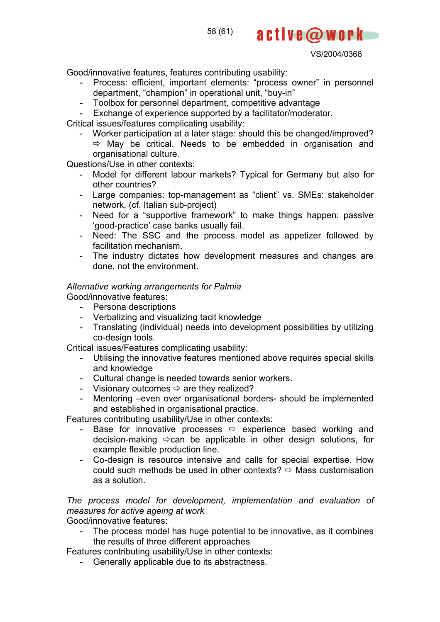58 (61)

VS/2004/0368

active@work

Good/innovative features, features contributing usability:

- Process: efficient, important elements: "process owner" in personnel department, "champion" in operational unit, "buy-in"
- Toolbox for personnel department, competitive advantage
- Exchange of experience supported by a facilitator/moderator.

Critical issues/features complicating usability:

- Worker participation at a later stage: should this be changed/improved?  $\Rightarrow$  May be critical. Needs to be embedded in organisation and organisational culture.

Questions/Use in other contexts:

- Model for different labour markets? Typical for Germany but also for other countries?
- Large companies: top-management as "client" vs. SMEs: stakeholder network, (cf. Italian sub-project)
- Need for a "supportive framework" to make things happen: passive 'good-practice' case banks usually fail.
- Need: The SSC and the process model as appetizer followed by facilitation mechanism.
- The industry dictates how development measures and changes are done, not the environment.

# *Alternative working arrangements for Palmia*

Good/innovative features:

- Persona descriptions
- Verbalizing and visualizing tacit knowledge
- Translating (individual) needs into development possibilities by utilizing co-design tools.

Critical issues/Features complicating usability:

- Utilising the innovative features mentioned above requires special skills and knowledge
- Cultural change is needed towards senior workers.
- Visionary outcomes  $\Rightarrow$  are they realized?
- Mentoring –even over organisational borders- should be implemented and established in organisational practice.

Features contributing usability/Use in other contexts:

- Base for innovative processes  $\Rightarrow$  experience based working and decision-making  $\Rightarrow$  can be applicable in other design solutions, for example flexible production line.
- Co-design is resource intensive and calls for special expertise. How could such methods be used in other contexts?  $\Rightarrow$  Mass customisation as a solution.

*The process model for development, implementation and evaluation of measures for active ageing at work* 

Good/innovative features:

The process model has huge potential to be innovative, as it combines the results of three different approaches

Features contributing usability/Use in other contexts:

- Generally applicable due to its abstractness.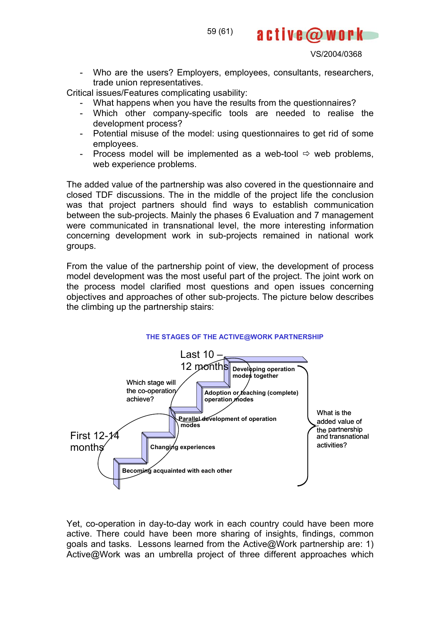- Who are the users? Employers, employees, consultants, researchers, trade union representatives.

Critical issues/Features complicating usability:

- What happens when you have the results from the questionnaires?
- Which other company-specific tools are needed to realise the development process?
- Potential misuse of the model: using questionnaires to get rid of some employees.
- Process model will be implemented as a web-tool  $\Rightarrow$  web problems, web experience problems.

The added value of the partnership was also covered in the questionnaire and closed TDF discussions. The in the middle of the project life the conclusion was that project partners should find ways to establish communication between the sub-projects. Mainly the phases 6 Evaluation and 7 management were communicated in transnational level, the more interesting information concerning development work in sub-projects remained in national work groups.

From the value of the partnership point of view, the development of process model development was the most useful part of the project. The joint work on the process model clarified most questions and open issues concerning objectives and approaches of other sub-projects. The picture below describes the climbing up the partnership stairs:



#### Yet, co-operation in day-to-day work in each country could have been more active. There could have been more sharing of insights, findings, common goals and tasks. Lessons learned from the Active@Work partnership are: 1) Active@Work was an umbrella project of three different approaches which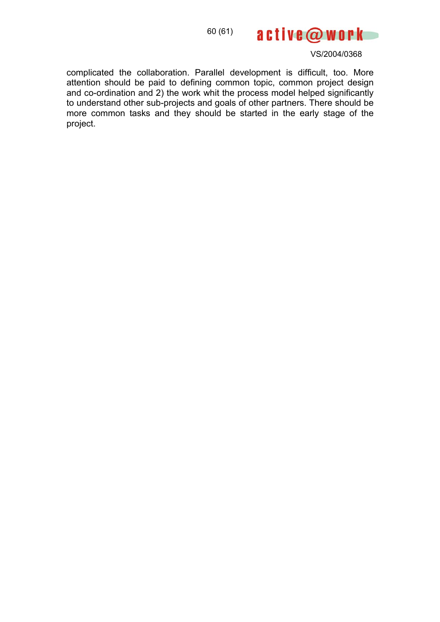

complicated the collaboration. Parallel development is difficult, too. More attention should be paid to defining common topic, common project design and co-ordination and 2) the work whit the process model helped significantly to understand other sub-projects and goals of other partners. There should be more common tasks and they should be started in the early stage of the project.